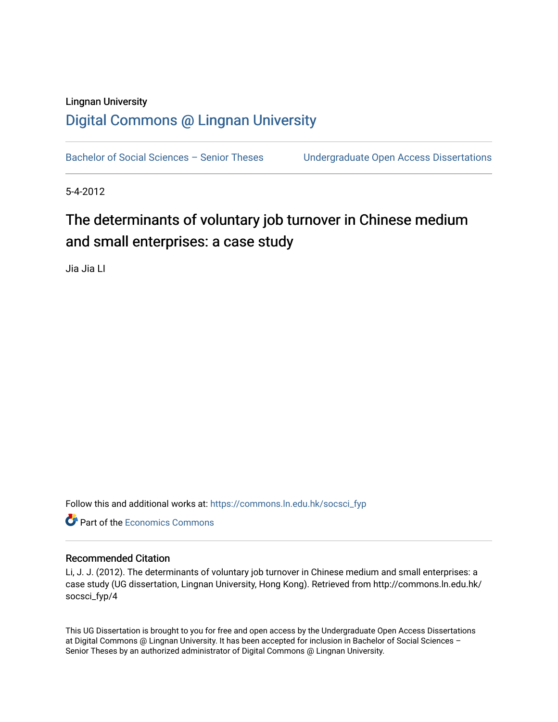# Lingnan University [Digital Commons @ Lingnan University](https://commons.ln.edu.hk/)

Bachelor of Social Sciences - Senior Theses Undergraduate Open Access Dissertations

5-4-2012

# The determinants of voluntary job turnover in Chinese medium and small enterprises: a case study

Jia Jia LI

Follow this and additional works at: [https://commons.ln.edu.hk/socsci\\_fyp](https://commons.ln.edu.hk/socsci_fyp?utm_source=commons.ln.edu.hk%2Fsocsci_fyp%2F4&utm_medium=PDF&utm_campaign=PDFCoverPages)

**C** Part of the [Economics Commons](http://network.bepress.com/hgg/discipline/340?utm_source=commons.ln.edu.hk%2Fsocsci_fyp%2F4&utm_medium=PDF&utm_campaign=PDFCoverPages)

#### Recommended Citation

Li, J. J. (2012). The determinants of voluntary job turnover in Chinese medium and small enterprises: a case study (UG dissertation, Lingnan University, Hong Kong). Retrieved from http://commons.ln.edu.hk/ socsci\_fyp/4

This UG Dissertation is brought to you for free and open access by the Undergraduate Open Access Dissertations at Digital Commons @ Lingnan University. It has been accepted for inclusion in Bachelor of Social Sciences – Senior Theses by an authorized administrator of Digital Commons @ Lingnan University.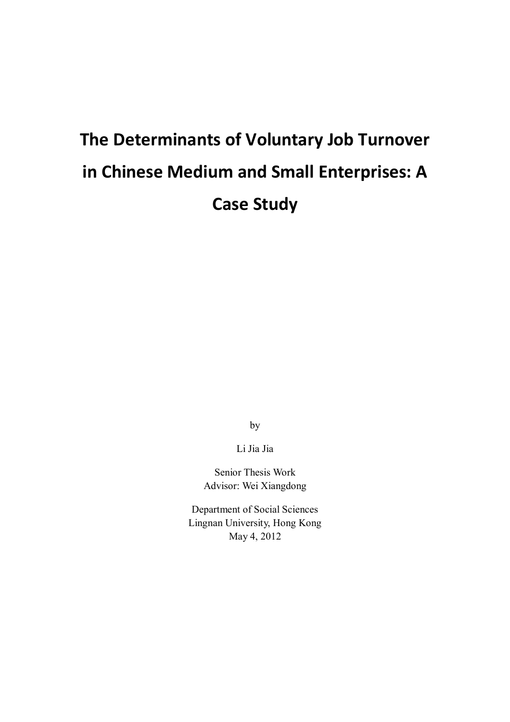# **The Determinants of Voluntary Job Turnover in Chinese Medium and Small Enterprises: A Case Study**

by

Li Jia Jia

Senior Thesis Work Advisor: Wei Xiangdong

Department of Social Sciences Lingnan University, Hong Kong May 4, 2012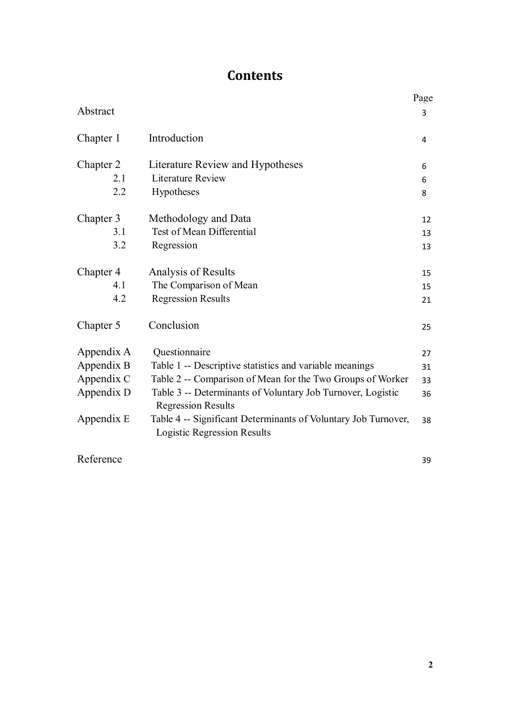# **Contents**

|            |                                                                                                      | Page |
|------------|------------------------------------------------------------------------------------------------------|------|
| Abstract   |                                                                                                      | 3    |
| Chapter 1  | Introduction                                                                                         | 4    |
| Chapter 2  | Literature Review and Hypotheses                                                                     | 6    |
| 2.1        | <b>Literature Review</b>                                                                             | 6    |
| 2.2        | Hypotheses                                                                                           | 8    |
| Chapter 3  | Methodology and Data                                                                                 | 12   |
| 3.1        | <b>Test of Mean Differential</b>                                                                     | 13   |
| 3.2        | Regression                                                                                           | 13   |
| Chapter 4  | Analysis of Results                                                                                  | 15   |
| 4.1        | The Comparison of Mean                                                                               | 15   |
| 4.2        | <b>Regression Results</b>                                                                            | 21   |
| Chapter 5  | Conclusion                                                                                           | 25   |
| Appendix A | Questionnaire                                                                                        | 27   |
| Appendix B | Table 1 -- Descriptive statistics and variable meanings                                              | 31   |
| Appendix C | Table 2 -- Comparison of Mean for the Two Groups of Worker                                           | 33   |
| Appendix D | Table 3 -- Determinants of Voluntary Job Turnover, Logistic<br><b>Regression Results</b>             | 36   |
| Appendix E | Table 4 -- Significant Determinants of Voluntary Job Turnover,<br><b>Logistic Regression Results</b> | 38   |

Reference

39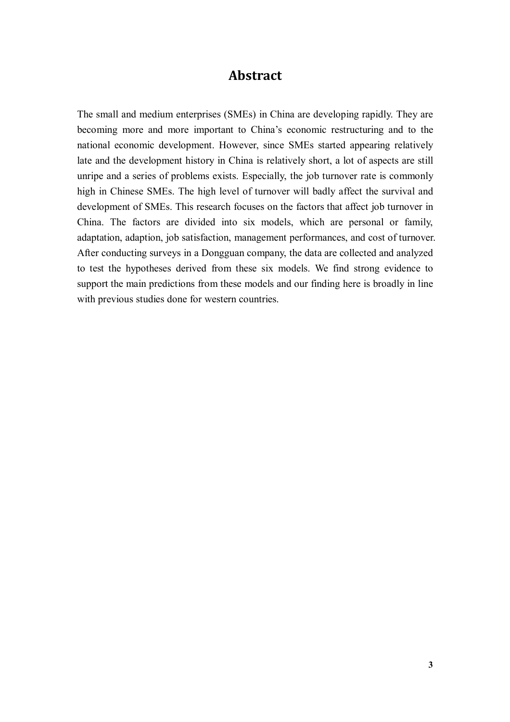### **Abstract**

The small and medium enterprises (SMEs) in China are developing rapidly. They are becoming more and more important to China's economic restructuring and to the national economic development. However, since SMEs started appearing relatively late and the development history in China is relatively short, a lot of aspects are still unripe and a series of problems exists. Especially, the job turnover rate is commonly high in Chinese SMEs. The high level of turnover will badly affect the survival and development of SMEs. This research focuses on the factors that affect job turnover in China. The factors are divided into six models, which are personal or family, adaptation, adaption, job satisfaction, management performances, and cost of turnover. After conducting surveys in a Dongguan company, the data are collected and analyzed to test the hypotheses derived from these six models. We find strong evidence to support the main predictions from these models and our finding here is broadly in line with previous studies done for western countries.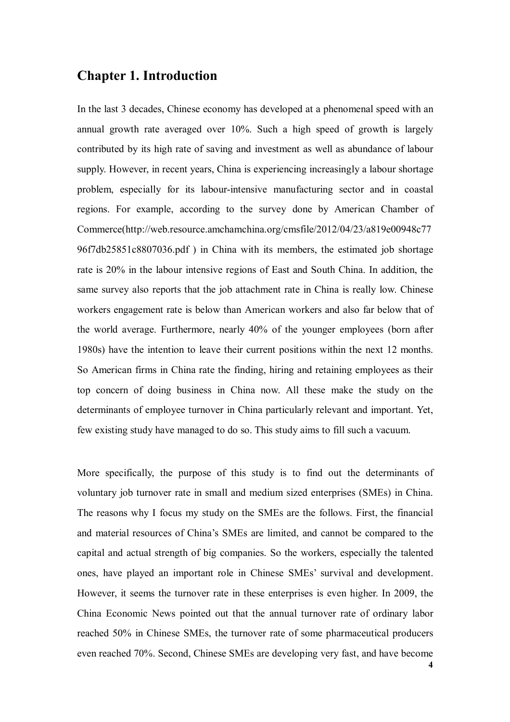# **Chapter 1. Introduction**

In the last 3 decades, Chinese economy has developed at a phenomenal speed with an annual growth rate averaged over 10%. Such a high speed of growth is largely contributed by its high rate of saving and investment as well as abundance of labour supply. However, in recent years, China is experiencing increasingly a labour shortage problem, especially for its labour-intensive manufacturing sector and in coastal regions. For example, according to the survey done by American Chamber of Commerce(http://web.resource.amchamchina.org/cmsfile/2012/04/23/a819e00948c77 96f7db25851c8807036.pdf ) in China with its members, the estimated job shortage rate is 20% in the labour intensive regions of East and South China. In addition, the same survey also reports that the job attachment rate in China is really low. Chinese workers engagement rate is below than American workers and also far below that of the world average. Furthermore, nearly 40% of the younger employees (born after 1980s) have the intention to leave their current positions within the next 12 months. So American firms in China rate the finding, hiring and retaining employees as their top concern of doing business in China now. All these make the study on the determinants of employee turnover in China particularly relevant and important. Yet, few existing study have managed to do so. This study aims to fill such a vacuum.

More specifically, the purpose of this study is to find out the determinants of voluntary job turnover rate in small and medium sized enterprises (SMEs) in China. The reasons why I focus my study on the SMEs are the follows. First, the financial and material resources of China's SMEs are limited, and cannot be compared to the capital and actual strength of big companies. So the workers, especially the talented ones, have played an important role in Chinese SMEs' survival and development. However, it seems the turnover rate in these enterprises is even higher. In 2009, the China Economic News pointed out that the annual turnover rate of ordinary labor reached 50% in Chinese SMEs, the turnover rate of some pharmaceutical producers even reached 70%. Second, Chinese SMEs are developing very fast, and have become

**4**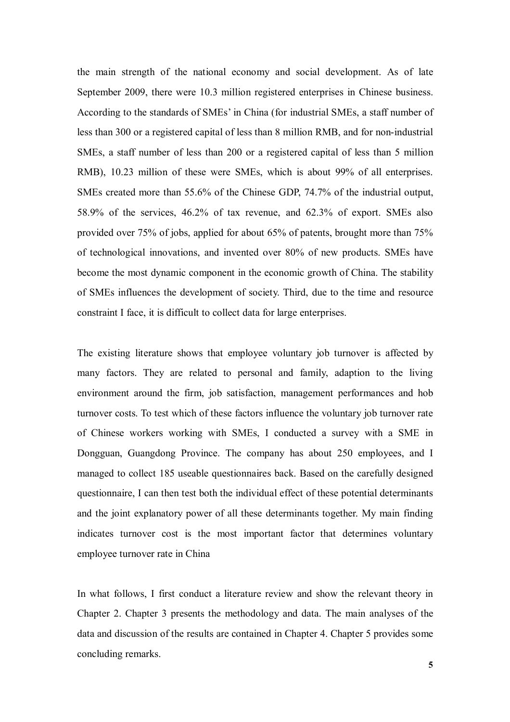the main strength of the national economy and social development. As of late September 2009, there were 10.3 million registered enterprises in Chinese business. According to the standards of SMEs' in China (for industrial SMEs, a staff number of less than 300 or a registered capital of less than 8 million RMB, and for non-industrial SMEs, a staff number of less than 200 or a registered capital of less than 5 million RMB), 10.23 million of these were SMEs, which is about 99% of all enterprises. SMEs created more than 55.6% of the Chinese GDP, 74.7% of the industrial output, 58.9% of the services, 46.2% of tax revenue, and 62.3% of export. SMEs also provided over 75% of jobs, applied for about 65% of patents, brought more than 75% of technological innovations, and invented over 80% of new products. SMEs have become the most dynamic component in the economic growth of China. The stability of SMEs influences the development of society. Third, due to the time and resource constraint I face, it is difficult to collect data for large enterprises.

The existing literature shows that employee voluntary job turnover is affected by many factors. They are related to personal and family, adaption to the living environment around the firm, job satisfaction, management performances and hob turnover costs. To test which of these factors influence the voluntary job turnover rate of Chinese workers working with SMEs, I conducted a survey with a SME in Dongguan, Guangdong Province. The company has about 250 employees, and I managed to collect 185 useable questionnaires back. Based on the carefully designed questionnaire, I can then test both the individual effect of these potential determinants and the joint explanatory power of all these determinants together. My main finding indicates turnover cost is the most important factor that determines voluntary employee turnover rate in China

In what follows, I first conduct a literature review and show the relevant theory in Chapter 2. Chapter 3 presents the methodology and data. The main analyses of the data and discussion of the results are contained in Chapter 4. Chapter 5 provides some concluding remarks.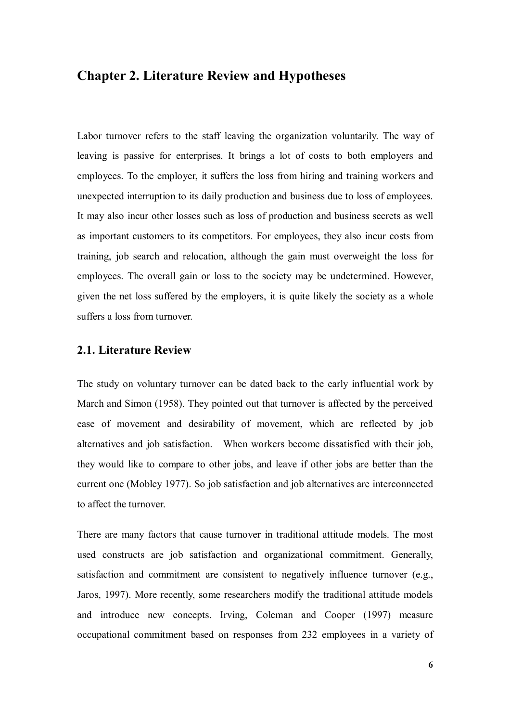### **Chapter 2. Literature Review and Hypotheses**

Labor turnover refers to the staff leaving the organization voluntarily. The way of leaving is passive for enterprises. It brings a lot of costs to both employers and employees. To the employer, it suffers the loss from hiring and training workers and unexpected interruption to its daily production and business due to loss of employees. It may also incur other losses such as loss of production and business secrets as well as important customers to its competitors. For employees, they also incur costs from training, job search and relocation, although the gain must overweight the loss for employees. The overall gain or loss to the society may be undetermined. However, given the net loss suffered by the employers, it is quite likely the society as a whole suffers a loss from turnover.

#### **2.1. Literature Review**

The study on voluntary turnover can be dated back to the early influential work by March and Simon (1958). They pointed out that turnover is affected by the perceived ease of movement and desirability of movement, which are reflected by job alternatives and job satisfaction. When workers become dissatisfied with their job, they would like to compare to other jobs, and leave if other jobs are better than the current one (Mobley 1977). So job satisfaction and job alternatives are interconnected to affect the turnover.

There are many factors that cause turnover in traditional attitude models. The most used constructs are job satisfaction and organizational commitment. Generally, satisfaction and commitment are consistent to negatively influence turnover (e.g., Jaros, 1997). More recently, some researchers modify the traditional attitude models and introduce new concepts. Irving, Coleman and Cooper (1997) measure occupational commitment based on responses from 232 employees in a variety of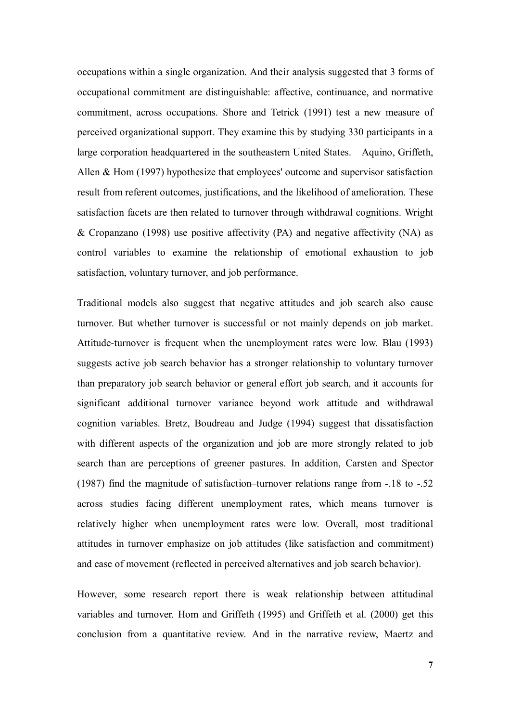occupations within a single organization. And their analysis suggested that 3 forms of occupational commitment are distinguishable: affective, continuance, and normative commitment, across occupations. Shore and Tetrick (1991) test a new measure of perceived organizational support. They examine this by studying 330 participants in a large corporation headquartered in the southeastern United States. Aquino, Griffeth, Allen & Hom (1997) hypothesize that employees' outcome and supervisor satisfaction result from referent outcomes, justifications, and the likelihood of amelioration. These satisfaction facets are then related to turnover through withdrawal cognitions. Wright & Cropanzano (1998) use positive affectivity (PA) and negative affectivity (NA) as control variables to examine the relationship of emotional exhaustion to job satisfaction, voluntary turnover, and job performance.

Traditional models also suggest that negative attitudes and job search also cause turnover. But whether turnover is successful or not mainly depends on job market. Attitude-turnover is frequent when the unemployment rates were low. Blau (1993) suggests active job search behavior has a stronger relationship to voluntary turnover than preparatory job search behavior or general effort job search, and it accounts for significant additional turnover variance beyond work attitude and withdrawal cognition variables. Bretz, Boudreau and Judge (1994) suggest that dissatisfaction with different aspects of the organization and job are more strongly related to job search than are perceptions of greener pastures. In addition, Carsten and Spector (1987) find the magnitude of satisfaction–turnover relations range from -.18 to -.52 across studies facing different unemployment rates, which means turnover is relatively higher when unemployment rates were low. Overall, most traditional attitudes in turnover emphasize on job attitudes (like satisfaction and commitment) and ease of movement (reflected in perceived alternatives and job search behavior).

However, some research report there is weak relationship between attitudinal variables and turnover. Hom and Griffeth (1995) and Griffeth et al. (2000) get this conclusion from a quantitative review. And in the narrative review, Maertz and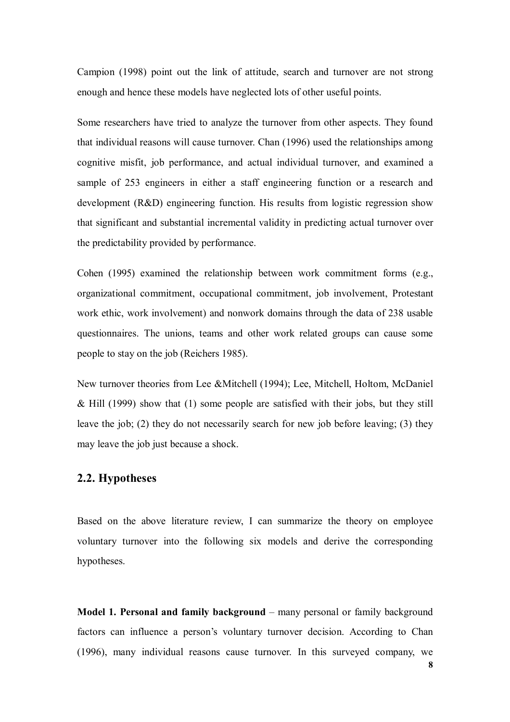Campion (1998) point out the link of attitude, search and turnover are not strong enough and hence these models have neglected lots of other useful points.

Some researchers have tried to analyze the turnover from other aspects. They found that individual reasons will cause turnover. Chan (1996) used the relationships among cognitive misfit, job performance, and actual individual turnover, and examined a sample of 253 engineers in either a staff engineering function or a research and development (R&D) engineering function. His results from logistic regression show that significant and substantial incremental validity in predicting actual turnover over the predictability provided by performance.

Cohen (1995) examined the relationship between work commitment forms (e.g., organizational commitment, occupational commitment, job involvement, Protestant work ethic, work involvement) and nonwork domains through the data of 238 usable questionnaires. The unions, teams and other work related groups can cause some people to stay on the job (Reichers 1985).

New turnover theories from Lee &Mitchell (1994); Lee, Mitchell, Holtom, McDaniel & Hill (1999) show that (1) some people are satisfied with their jobs, but they still leave the job; (2) they do not necessarily search for new job before leaving; (3) they may leave the job just because a shock.

#### **2.2. Hypotheses**

Based on the above literature review, I can summarize the theory on employee voluntary turnover into the following six models and derive the corresponding hypotheses.

**Model 1. Personal and family background** – many personal or family background factors can influence a person's voluntary turnover decision. According to Chan (1996), many individual reasons cause turnover. In this surveyed company, we

**8**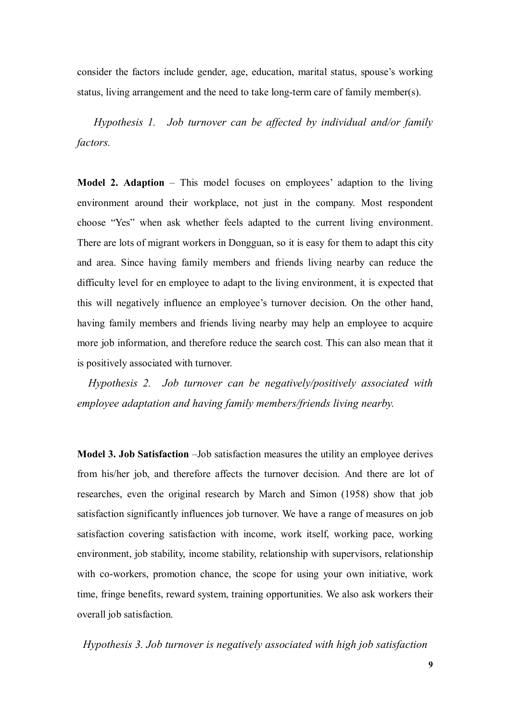consider the factors include gender, age, education, marital status, spouse's working status, living arrangement and the need to take long-term care of family member(s).

*Hypothesis 1. Job turnover can be affected by individual and/or family factors.*

**Model 2. Adaption** – This model focuses on employees' adaption to the living environment around their workplace, not just in the company. Most respondent choose "Yes" when ask whether feels adapted to the current living environment. There are lots of migrant workers in Dongguan, so it is easy for them to adapt this city and area. Since having family members and friends living nearby can reduce the difficulty level for en employee to adapt to the living environment, it is expected that this will negatively influence an employee's turnover decision. On the other hand, having family members and friends living nearby may help an employee to acquire more job information, and therefore reduce the search cost. This can also mean that it is positively associated with turnover.

*Hypothesis 2. Job turnover can be negatively/positively associated with employee adaptation and having family members/friends living nearby.*

**Model 3. Job Satisfaction** –Job satisfaction measures the utility an employee derives from his/her job, and therefore affects the turnover decision. And there are lot of researches, even the original research by March and Simon (1958) show that job satisfaction significantly influences job turnover. We have a range of measures on job satisfaction covering satisfaction with income, work itself, working pace, working environment, job stability, income stability, relationship with supervisors, relationship with co-workers, promotion chance, the scope for using your own initiative, work time, fringe benefits, reward system, training opportunities. We also ask workers their overall job satisfaction.

*Hypothesis 3. Job turnover is negatively associated with high job satisfaction*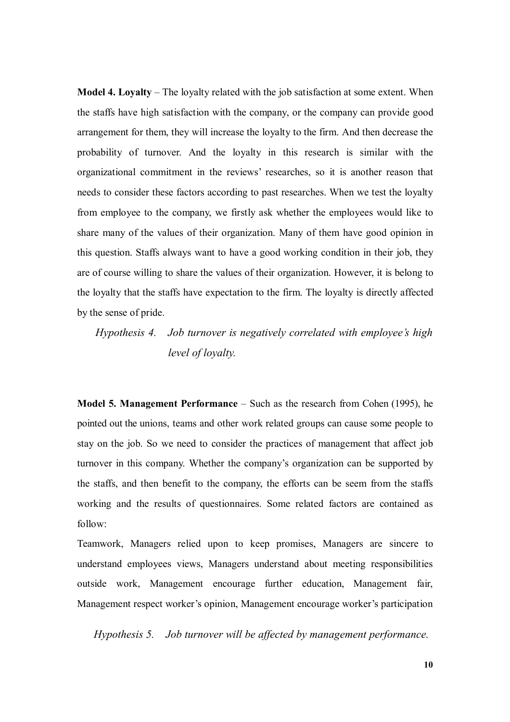**Model 4. Loyalty** – The loyalty related with the job satisfaction at some extent. When the staffs have high satisfaction with the company, or the company can provide good arrangement for them, they will increase the loyalty to the firm. And then decrease the probability of turnover. And the loyalty in this research is similar with the organizational commitment in the reviews' researches, so it is another reason that needs to consider these factors according to past researches. When we test the loyalty from employee to the company, we firstly ask whether the employees would like to share many of the values of their organization. Many of them have good opinion in this question. Staffs always want to have a good working condition in their job, they are of course willing to share the values of their organization. However, it is belong to the loyalty that the staffs have expectation to the firm. The loyalty is directly affected by the sense of pride.

# *Hypothesis 4. Job turnover is negatively correlated with employee's high level of loyalty.*

**Model 5. Management Performance** – Such as the research from Cohen (1995), he pointed out the unions, teams and other work related groups can cause some people to stay on the job. So we need to consider the practices of management that affect job turnover in this company. Whether the company's organization can be supported by the staffs, and then benefit to the company, the efforts can be seem from the staffs working and the results of questionnaires. Some related factors are contained as follow:

Teamwork, Managers relied upon to keep promises, Managers are sincere to understand employees views, Managers understand about meeting responsibilities outside work, Management encourage further education, Management fair, Management respect worker's opinion, Management encourage worker's participation

*Hypothesis 5. Job turnover will be affected by management performance.*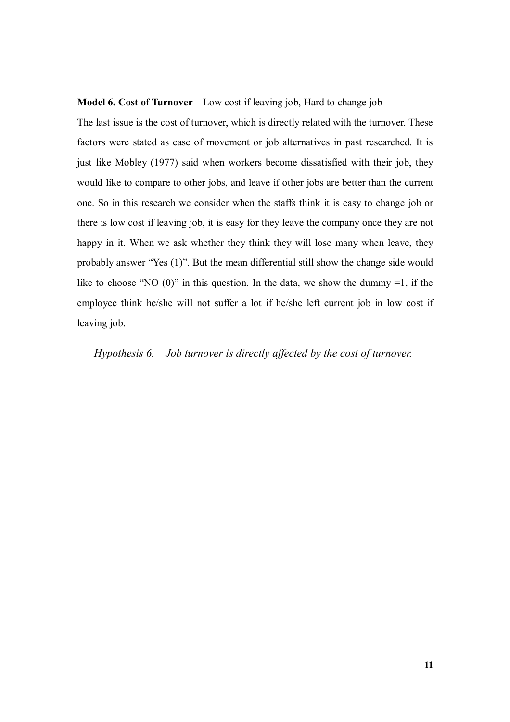#### **Model 6. Cost of Turnover** – Low cost if leaving job, Hard to change job

The last issue is the cost of turnover, which is directly related with the turnover. These factors were stated as ease of movement or job alternatives in past researched. It is just like Mobley (1977) said when workers become dissatisfied with their job, they would like to compare to other jobs, and leave if other jobs are better than the current one. So in this research we consider when the staffs think it is easy to change job or there is low cost if leaving job, it is easy for they leave the company once they are not happy in it. When we ask whether they think they will lose many when leave, they probably answer "Yes (1)". But the mean differential still show the change side would like to choose "NO  $(0)$ " in this question. In the data, we show the dummy =1, if the employee think he/she will not suffer a lot if he/she left current job in low cost if leaving job.

 *Hypothesis 6. Job turnover is directly affected by the cost of turnover.*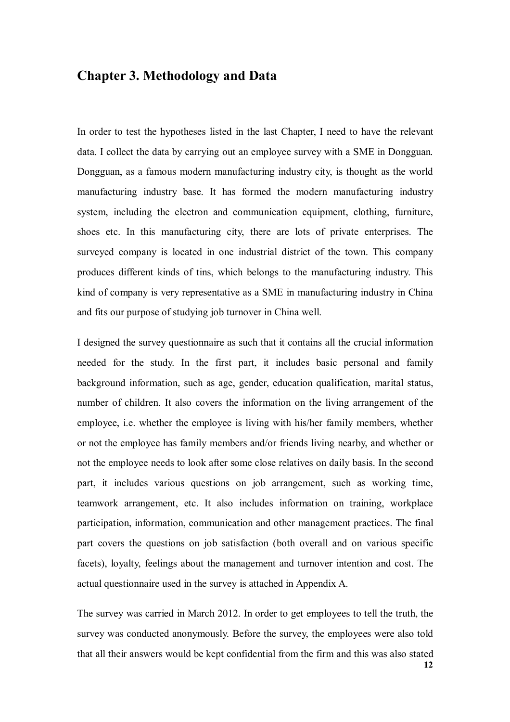# **Chapter 3. Methodology and Data**

In order to test the hypotheses listed in the last Chapter, I need to have the relevant data. I collect the data by carrying out an employee survey with a SME in Dongguan. Dongguan, as a famous modern manufacturing industry city, is thought as the world manufacturing industry base. It has formed the modern manufacturing industry system, including the electron and communication equipment, clothing, furniture, shoes etc. In this manufacturing city, there are lots of private enterprises. The surveyed company is located in one industrial district of the town. This company produces different kinds of tins, which belongs to the manufacturing industry. This kind of company is very representative as a SME in manufacturing industry in China and fits our purpose of studying job turnover in China well.

I designed the survey questionnaire as such that it contains all the crucial information needed for the study. In the first part, it includes basic personal and family background information, such as age, gender, education qualification, marital status, number of children. It also covers the information on the living arrangement of the employee, i.e. whether the employee is living with his/her family members, whether or not the employee has family members and/or friends living nearby, and whether or not the employee needs to look after some close relatives on daily basis. In the second part, it includes various questions on job arrangement, such as working time, teamwork arrangement, etc. It also includes information on training, workplace participation, information, communication and other management practices. The final part covers the questions on job satisfaction (both overall and on various specific facets), loyalty, feelings about the management and turnover intention and cost. The actual questionnaire used in the survey is attached in Appendix A.

The survey was carried in March 2012. In order to get employees to tell the truth, the survey was conducted anonymously. Before the survey, the employees were also told that all their answers would be kept confidential from the firm and this was also stated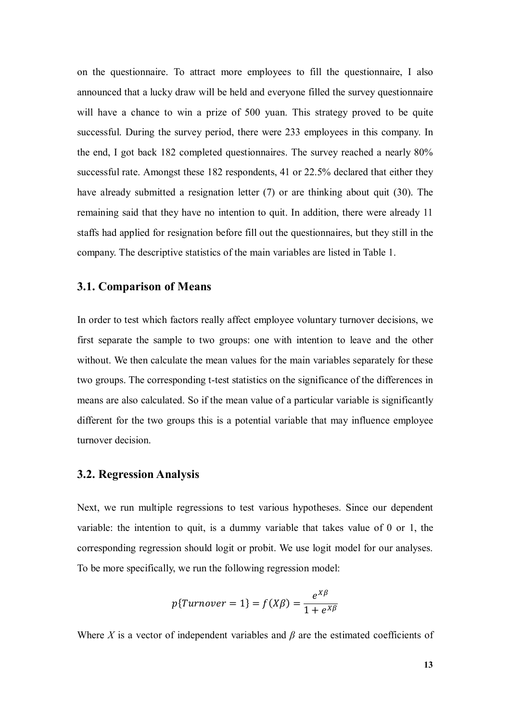on the questionnaire. To attract more employees to fill the questionnaire, I also announced that a lucky draw will be held and everyone filled the survey questionnaire will have a chance to win a prize of 500 yuan. This strategy proved to be quite successful. During the survey period, there were 233 employees in this company. In the end, I got back 182 completed questionnaires. The survey reached a nearly 80% successful rate. Amongst these 182 respondents, 41 or 22.5% declared that either they have already submitted a resignation letter (7) or are thinking about quit (30). The remaining said that they have no intention to quit. In addition, there were already 11 staffs had applied for resignation before fill out the questionnaires, but they still in the company. The descriptive statistics of the main variables are listed in Table 1.

#### **3.1. Comparison of Means**

In order to test which factors really affect employee voluntary turnover decisions, we first separate the sample to two groups: one with intention to leave and the other without. We then calculate the mean values for the main variables separately for these two groups. The corresponding t-test statistics on the significance of the differences in means are also calculated. So if the mean value of a particular variable is significantly different for the two groups this is a potential variable that may influence employee turnover decision.

#### **3.2. Regression Analysis**

Next, we run multiple regressions to test various hypotheses. Since our dependent variable: the intention to quit, is a dummy variable that takes value of 0 or 1, the corresponding regression should logit or probit. We use logit model for our analyses. To be more specifically, we run the following regression model:

$$
p\{Turnover = 1\} = f(X\beta) = \frac{e^{X\beta}}{1 + e^{X\beta}}
$$

Where *X* is a vector of independent variables and *β* are the estimated coefficients of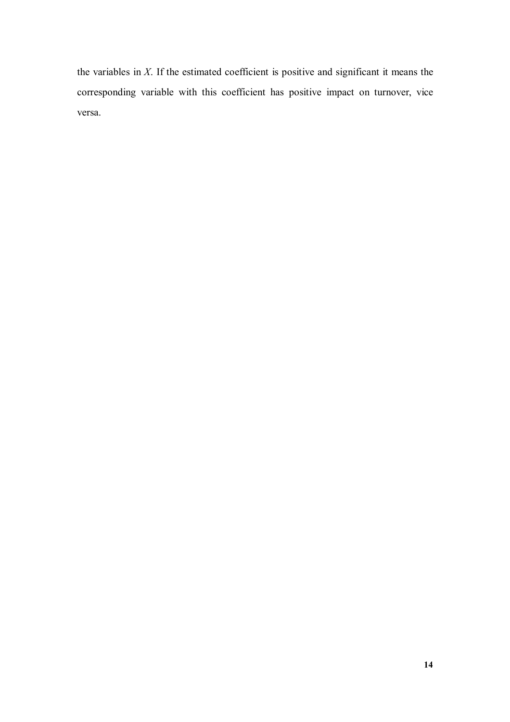the variables in *X*. If the estimated coefficient is positive and significant it means the corresponding variable with this coefficient has positive impact on turnover, vice versa.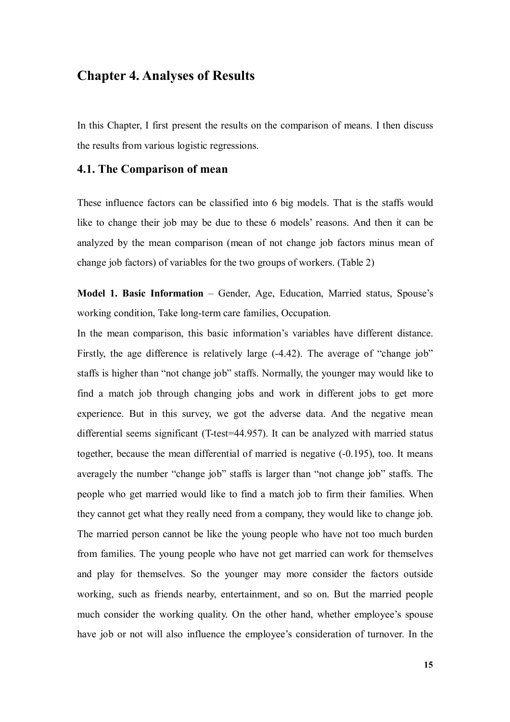### **Chapter 4. Analyses of Results**

In this Chapter, I first present the results on the comparison of means. I then discuss the results from various logistic regressions.

#### **4.1. The Comparison of mean**

These influence factors can be classified into 6 big models. That is the staffs would like to change their job may be due to these 6 models' reasons. And then it can be analyzed by the mean comparison (mean of not change job factors minus mean of change job factors) of variables for the two groups of workers. (Table 2)

**Model 1. Basic Information** – Gender, Age, Education, Married status, Spouse's working condition, Take long-term care families, Occupation.

In the mean comparison, this basic information's variables have different distance. Firstly, the age difference is relatively large (-4.42). The average of "change job" staffs is higher than "not change job" staffs. Normally, the younger may would like to find a match job through changing jobs and work in different jobs to get more experience. But in this survey, we got the adverse data. And the negative mean differential seems significant (T-test=44.957). It can be analyzed with married status together, because the mean differential of married is negative (-0.195), too. It means averagely the number "change job" staffs is larger than "not change job" staffs. The people who get married would like to find a match job to firm their families. When they cannot get what they really need from a company, they would like to change job. The married person cannot be like the young people who have not too much burden from families. The young people who have not get married can work for themselves and play for themselves. So the younger may more consider the factors outside working, such as friends nearby, entertainment, and so on. But the married people much consider the working quality. On the other hand, whether employee's spouse have job or not will also influence the employee's consideration of turnover. In the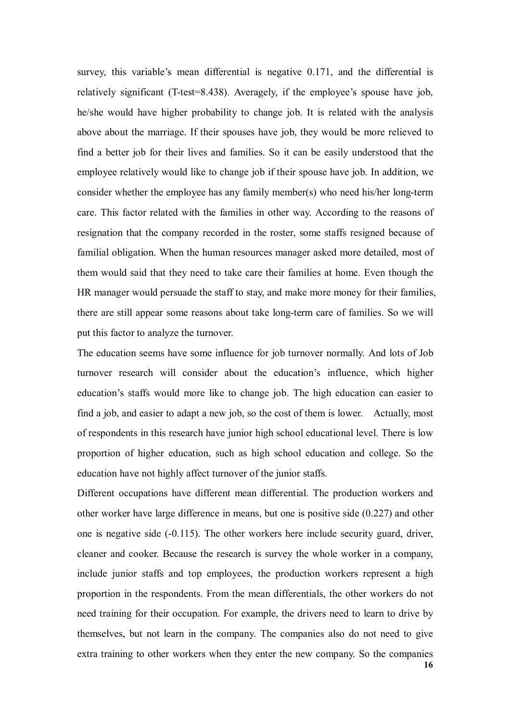survey, this variable's mean differential is negative 0.171, and the differential is relatively significant (T-test=8.438). Averagely, if the employee's spouse have job, he/she would have higher probability to change job. It is related with the analysis above about the marriage. If their spouses have job, they would be more relieved to find a better job for their lives and families. So it can be easily understood that the employee relatively would like to change job if their spouse have job. In addition, we consider whether the employee has any family member(s) who need his/her long-term care. This factor related with the families in other way. According to the reasons of resignation that the company recorded in the roster, some staffs resigned because of familial obligation. When the human resources manager asked more detailed, most of them would said that they need to take care their families at home. Even though the HR manager would persuade the staff to stay, and make more money for their families, there are still appear some reasons about take long-term care of families. So we will put this factor to analyze the turnover.

The education seems have some influence for job turnover normally. And lots of Job turnover research will consider about the education's influence, which higher education's staffs would more like to change job. The high education can easier to find a job, and easier to adapt a new job, so the cost of them is lower. Actually, most of respondents in this research have junior high school educational level. There is low proportion of higher education, such as high school education and college. So the education have not highly affect turnover of the junior staffs.

**16** Different occupations have different mean differential. The production workers and other worker have large difference in means, but one is positive side (0.227) and other one is negative side (-0.115). The other workers here include security guard, driver, cleaner and cooker. Because the research is survey the whole worker in a company, include junior staffs and top employees, the production workers represent a high proportion in the respondents. From the mean differentials, the other workers do not need training for their occupation. For example, the drivers need to learn to drive by themselves, but not learn in the company. The companies also do not need to give extra training to other workers when they enter the new company. So the companies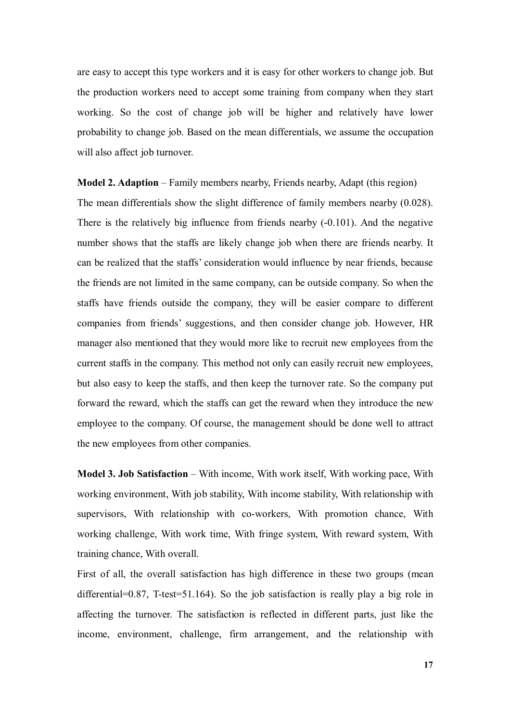are easy to accept this type workers and it is easy for other workers to change job. But the production workers need to accept some training from company when they start working. So the cost of change job will be higher and relatively have lower probability to change job. Based on the mean differentials, we assume the occupation will also affect job turnover.

**Model 2. Adaption** – Family members nearby, Friends nearby, Adapt (this region) The mean differentials show the slight difference of family members nearby (0.028). There is the relatively big influence from friends nearby (-0.101). And the negative number shows that the staffs are likely change job when there are friends nearby. It can be realized that the staffs' consideration would influence by near friends, because the friends are not limited in the same company, can be outside company. So when the staffs have friends outside the company, they will be easier compare to different companies from friends' suggestions, and then consider change job. However, HR manager also mentioned that they would more like to recruit new employees from the current staffs in the company. This method not only can easily recruit new employees, but also easy to keep the staffs, and then keep the turnover rate. So the company put forward the reward, which the staffs can get the reward when they introduce the new employee to the company. Of course, the management should be done well to attract the new employees from other companies.

**Model 3. Job Satisfaction** – With income, With work itself, With working pace, With working environment, With job stability, With income stability, With relationship with supervisors, With relationship with co-workers, With promotion chance, With working challenge, With work time, With fringe system, With reward system, With training chance, With overall.

First of all, the overall satisfaction has high difference in these two groups (mean differential=0.87, T-test=51.164). So the job satisfaction is really play a big role in affecting the turnover. The satisfaction is reflected in different parts, just like the income, environment, challenge, firm arrangement, and the relationship with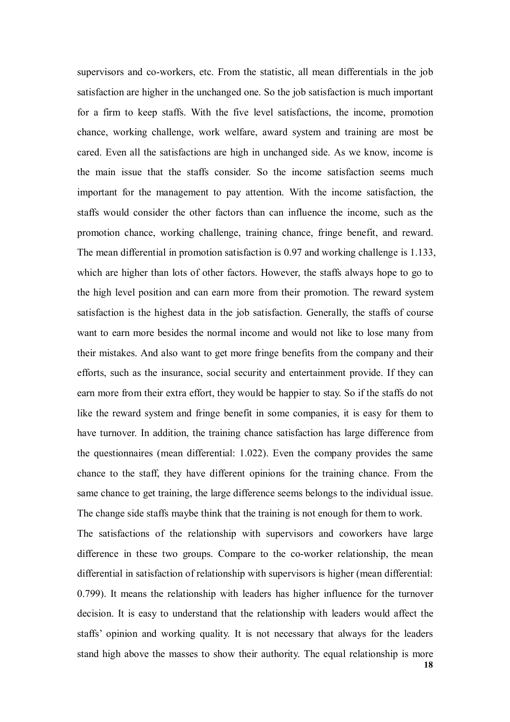supervisors and co-workers, etc. From the statistic, all mean differentials in the job satisfaction are higher in the unchanged one. So the job satisfaction is much important for a firm to keep staffs. With the five level satisfactions, the income, promotion chance, working challenge, work welfare, award system and training are most be cared. Even all the satisfactions are high in unchanged side. As we know, income is the main issue that the staffs consider. So the income satisfaction seems much important for the management to pay attention. With the income satisfaction, the staffs would consider the other factors than can influence the income, such as the promotion chance, working challenge, training chance, fringe benefit, and reward. The mean differential in promotion satisfaction is 0.97 and working challenge is 1.133, which are higher than lots of other factors. However, the staffs always hope to go to the high level position and can earn more from their promotion. The reward system satisfaction is the highest data in the job satisfaction. Generally, the staffs of course want to earn more besides the normal income and would not like to lose many from their mistakes. And also want to get more fringe benefits from the company and their efforts, such as the insurance, social security and entertainment provide. If they can earn more from their extra effort, they would be happier to stay. So if the staffs do not like the reward system and fringe benefit in some companies, it is easy for them to have turnover. In addition, the training chance satisfaction has large difference from the questionnaires (mean differential: 1.022). Even the company provides the same chance to the staff, they have different opinions for the training chance. From the same chance to get training, the large difference seems belongs to the individual issue. The change side staffs maybe think that the training is not enough for them to work. The satisfactions of the relationship with supervisors and coworkers have large difference in these two groups. Compare to the co-worker relationship, the mean differential in satisfaction of relationship with supervisors is higher (mean differential: 0.799). It means the relationship with leaders has higher influence for the turnover decision. It is easy to understand that the relationship with leaders would affect the staffs' opinion and working quality. It is not necessary that always for the leaders stand high above the masses to show their authority. The equal relationship is more

**18**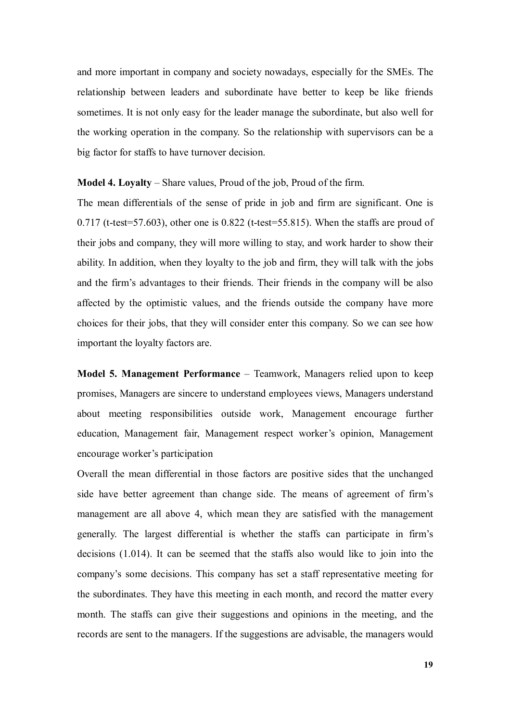and more important in company and society nowadays, especially for the SMEs. The relationship between leaders and subordinate have better to keep be like friends sometimes. It is not only easy for the leader manage the subordinate, but also well for the working operation in the company. So the relationship with supervisors can be a big factor for staffs to have turnover decision.

**Model 4. Loyalty** – Share values, Proud of the job, Proud of the firm.

The mean differentials of the sense of pride in job and firm are significant. One is  $0.717$  (t-test=57.603), other one is  $0.822$  (t-test=55.815). When the staffs are proud of their jobs and company, they will more willing to stay, and work harder to show their ability. In addition, when they loyalty to the job and firm, they will talk with the jobs and the firm's advantages to their friends. Their friends in the company will be also affected by the optimistic values, and the friends outside the company have more choices for their jobs, that they will consider enter this company. So we can see how important the loyalty factors are.

**Model 5. Management Performance** – Teamwork, Managers relied upon to keep promises, Managers are sincere to understand employees views, Managers understand about meeting responsibilities outside work, Management encourage further education, Management fair, Management respect worker's opinion, Management encourage worker's participation

Overall the mean differential in those factors are positive sides that the unchanged side have better agreement than change side. The means of agreement of firm's management are all above 4, which mean they are satisfied with the management generally. The largest differential is whether the staffs can participate in firm's decisions (1.014). It can be seemed that the staffs also would like to join into the company's some decisions. This company has set a staff representative meeting for the subordinates. They have this meeting in each month, and record the matter every month. The staffs can give their suggestions and opinions in the meeting, and the records are sent to the managers. If the suggestions are advisable, the managers would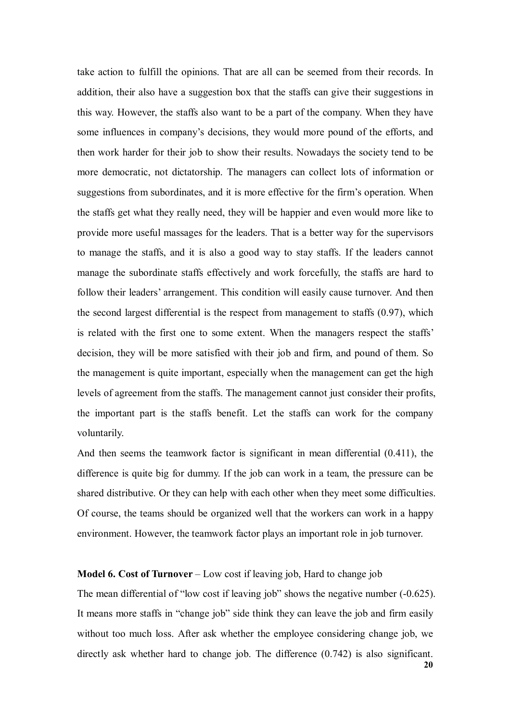take action to fulfill the opinions. That are all can be seemed from their records. In addition, their also have a suggestion box that the staffs can give their suggestions in this way. However, the staffs also want to be a part of the company. When they have some influences in company's decisions, they would more pound of the efforts, and then work harder for their job to show their results. Nowadays the society tend to be more democratic, not dictatorship. The managers can collect lots of information or suggestions from subordinates, and it is more effective for the firm's operation. When the staffs get what they really need, they will be happier and even would more like to provide more useful massages for the leaders. That is a better way for the supervisors to manage the staffs, and it is also a good way to stay staffs. If the leaders cannot manage the subordinate staffs effectively and work forcefully, the staffs are hard to follow their leaders' arrangement. This condition will easily cause turnover. And then the second largest differential is the respect from management to staffs (0.97), which is related with the first one to some extent. When the managers respect the staffs' decision, they will be more satisfied with their job and firm, and pound of them. So the management is quite important, especially when the management can get the high levels of agreement from the staffs. The management cannot just consider their profits, the important part is the staffs benefit. Let the staffs can work for the company voluntarily.

And then seems the teamwork factor is significant in mean differential (0.411), the difference is quite big for dummy. If the job can work in a team, the pressure can be shared distributive. Or they can help with each other when they meet some difficulties. Of course, the teams should be organized well that the workers can work in a happy environment. However, the teamwork factor plays an important role in job turnover.

#### **Model 6. Cost of Turnover** – Low cost if leaving job, Hard to change job

The mean differential of "low cost if leaving job" shows the negative number (-0.625). It means more staffs in "change job" side think they can leave the job and firm easily without too much loss. After ask whether the employee considering change job, we directly ask whether hard to change job. The difference (0.742) is also significant.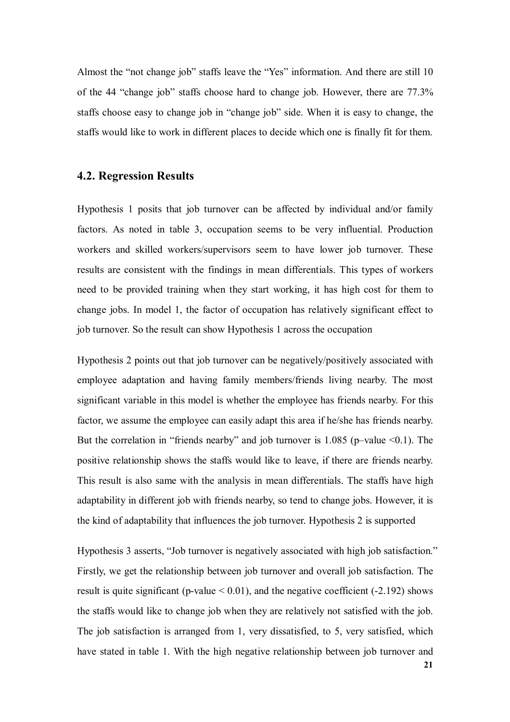Almost the "not change job" staffs leave the "Yes" information. And there are still 10 of the 44 "change job" staffs choose hard to change job. However, there are 77.3% staffs choose easy to change job in "change job" side. When it is easy to change, the staffs would like to work in different places to decide which one is finally fit for them.

#### **4.2. Regression Results**

Hypothesis 1 posits that job turnover can be affected by individual and/or family factors. As noted in table 3, occupation seems to be very influential. Production workers and skilled workers/supervisors seem to have lower job turnover. These results are consistent with the findings in mean differentials. This types of workers need to be provided training when they start working, it has high cost for them to change jobs. In model 1, the factor of occupation has relatively significant effect to job turnover. So the result can show Hypothesis 1 across the occupation

Hypothesis 2 points out that job turnover can be negatively/positively associated with employee adaptation and having family members/friends living nearby. The most significant variable in this model is whether the employee has friends nearby. For this factor, we assume the employee can easily adapt this area if he/she has friends nearby. But the correlation in "friends nearby" and job turnover is 1.085 (p–value <0.1). The positive relationship shows the staffs would like to leave, if there are friends nearby. This result is also same with the analysis in mean differentials. The staffs have high adaptability in different job with friends nearby, so tend to change jobs. However, it is the kind of adaptability that influences the job turnover. Hypothesis 2 is supported

Hypothesis 3 asserts, "Job turnover is negatively associated with high job satisfaction." Firstly, we get the relationship between job turnover and overall job satisfaction. The result is quite significant (p-value  $< 0.01$ ), and the negative coefficient (-2.192) shows the staffs would like to change job when they are relatively not satisfied with the job. The job satisfaction is arranged from 1, very dissatisfied, to 5, very satisfied, which have stated in table 1. With the high negative relationship between job turnover and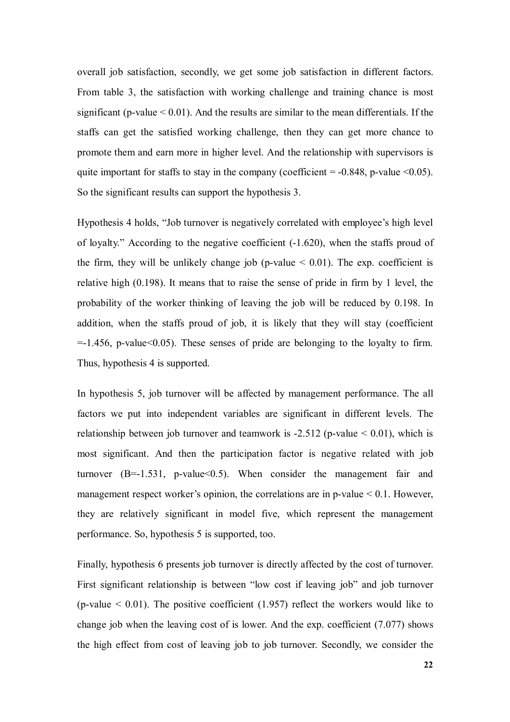overall job satisfaction, secondly, we get some job satisfaction in different factors. From table 3, the satisfaction with working challenge and training chance is most significant (p-value  $\leq 0.01$ ). And the results are similar to the mean differentials. If the staffs can get the satisfied working challenge, then they can get more chance to promote them and earn more in higher level. And the relationship with supervisors is quite important for staffs to stay in the company (coefficient  $= -0.848$ , p-value  $\leq 0.05$ ). So the significant results can support the hypothesis 3.

Hypothesis 4 holds, "Job turnover is negatively correlated with employee's high level of loyalty." According to the negative coefficient (-1.620), when the staffs proud of the firm, they will be unlikely change job (p-value  $\leq 0.01$ ). The exp. coefficient is relative high (0.198). It means that to raise the sense of pride in firm by 1 level, the probability of the worker thinking of leaving the job will be reduced by 0.198. In addition, when the staffs proud of job, it is likely that they will stay (coefficient  $=$  1.456, p-value  $(0.05)$ . These senses of pride are belonging to the loyalty to firm. Thus, hypothesis 4 is supported.

In hypothesis 5, job turnover will be affected by management performance. The all factors we put into independent variables are significant in different levels. The relationship between job turnover and teamwork is  $-2.512$  (p-value  $\leq 0.01$ ), which is most significant. And then the participation factor is negative related with job turnover  $(B=-1.531, p-value<0.5)$ . When consider the management fair and management respect worker's opinion, the correlations are in p-value  $\leq 0.1$ . However, they are relatively significant in model five, which represent the management performance. So, hypothesis 5 is supported, too.

Finally, hypothesis 6 presents job turnover is directly affected by the cost of turnover. First significant relationship is between "low cost if leaving job" and job turnover (p-value  $< 0.01$ ). The positive coefficient (1.957) reflect the workers would like to change job when the leaving cost of is lower. And the exp. coefficient (7.077) shows the high effect from cost of leaving job to job turnover. Secondly, we consider the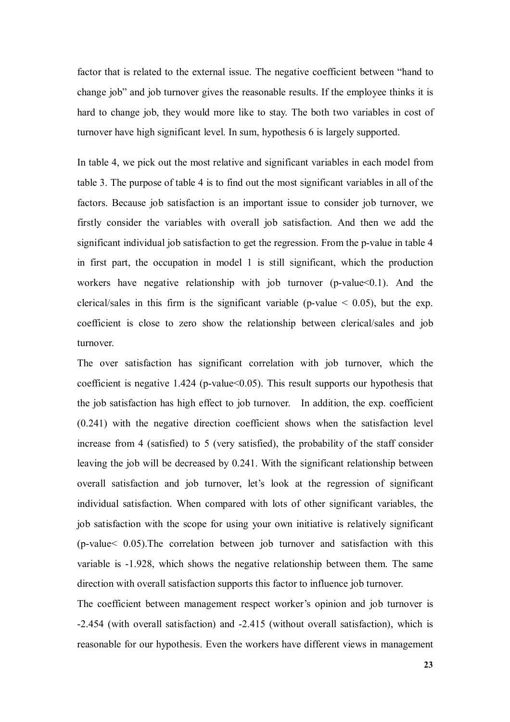factor that is related to the external issue. The negative coefficient between "hand to change job" and job turnover gives the reasonable results. If the employee thinks it is hard to change job, they would more like to stay. The both two variables in cost of turnover have high significant level. In sum, hypothesis 6 is largely supported.

In table 4, we pick out the most relative and significant variables in each model from table 3. The purpose of table 4 is to find out the most significant variables in all of the factors. Because job satisfaction is an important issue to consider job turnover, we firstly consider the variables with overall job satisfaction. And then we add the significant individual job satisfaction to get the regression. From the p-value in table 4 in first part, the occupation in model 1 is still significant, which the production workers have negative relationship with job turnover (p-value < 0.1). And the clerical/sales in this firm is the significant variable (p-value  $\leq$  0.05), but the exp. coefficient is close to zero show the relationship between clerical/sales and job turnover.

The over satisfaction has significant correlation with job turnover, which the coefficient is negative  $1.424$  (p-value  $0.05$ ). This result supports our hypothesis that the job satisfaction has high effect to job turnover. In addition, the exp. coefficient (0.241) with the negative direction coefficient shows when the satisfaction level increase from 4 (satisfied) to 5 (very satisfied), the probability of the staff consider leaving the job will be decreased by 0.241. With the significant relationship between overall satisfaction and job turnover, let's look at the regression of significant individual satisfaction. When compared with lots of other significant variables, the job satisfaction with the scope for using your own initiative is relatively significant (p-value< 0.05).The correlation between job turnover and satisfaction with this variable is -1.928, which shows the negative relationship between them. The same direction with overall satisfaction supports this factor to influence job turnover.

The coefficient between management respect worker's opinion and job turnover is -2.454 (with overall satisfaction) and -2.415 (without overall satisfaction), which is reasonable for our hypothesis. Even the workers have different views in management

**23**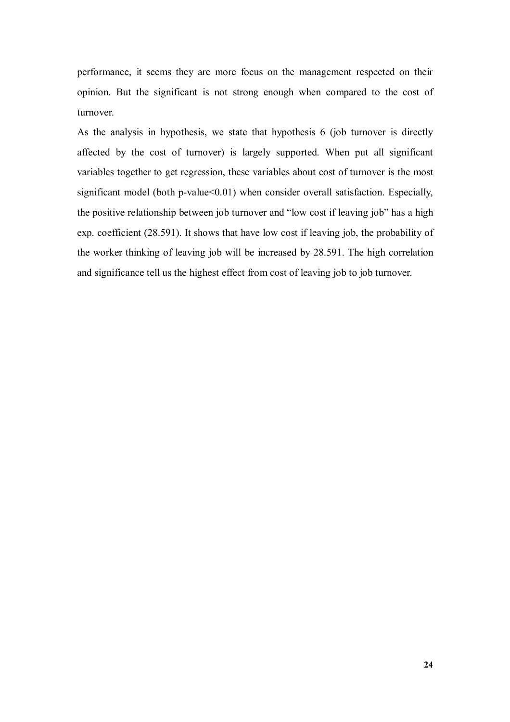performance, it seems they are more focus on the management respected on their opinion. But the significant is not strong enough when compared to the cost of turnover.

As the analysis in hypothesis, we state that hypothesis 6 (job turnover is directly affected by the cost of turnover) is largely supported. When put all significant variables together to get regression, these variables about cost of turnover is the most significant model (both p-value $<0.01$ ) when consider overall satisfaction. Especially, the positive relationship between job turnover and "low cost if leaving job" has a high exp. coefficient (28.591). It shows that have low cost if leaving job, the probability of the worker thinking of leaving job will be increased by 28.591. The high correlation and significance tell us the highest effect from cost of leaving job to job turnover.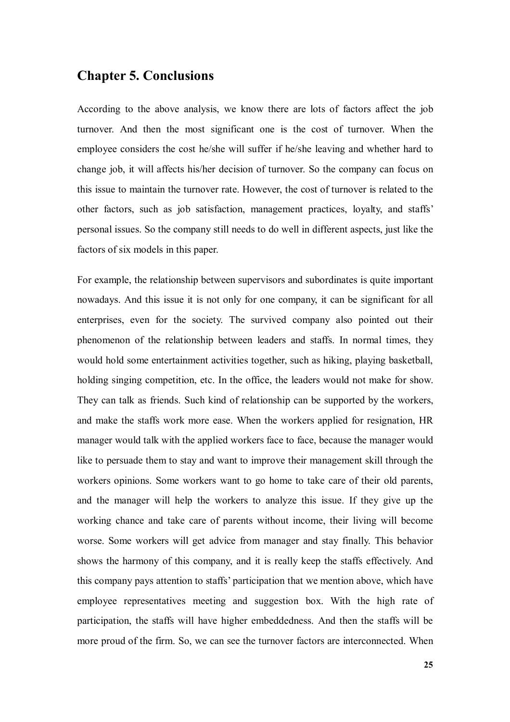## **Chapter 5. Conclusions**

According to the above analysis, we know there are lots of factors affect the job turnover. And then the most significant one is the cost of turnover. When the employee considers the cost he/she will suffer if he/she leaving and whether hard to change job, it will affects his/her decision of turnover. So the company can focus on this issue to maintain the turnover rate. However, the cost of turnover is related to the other factors, such as job satisfaction, management practices, loyalty, and staffs' personal issues. So the company still needs to do well in different aspects, just like the factors of six models in this paper.

For example, the relationship between supervisors and subordinates is quite important nowadays. And this issue it is not only for one company, it can be significant for all enterprises, even for the society. The survived company also pointed out their phenomenon of the relationship between leaders and staffs. In normal times, they would hold some entertainment activities together, such as hiking, playing basketball, holding singing competition, etc. In the office, the leaders would not make for show. They can talk as friends. Such kind of relationship can be supported by the workers, and make the staffs work more ease. When the workers applied for resignation, HR manager would talk with the applied workers face to face, because the manager would like to persuade them to stay and want to improve their management skill through the workers opinions. Some workers want to go home to take care of their old parents, and the manager will help the workers to analyze this issue. If they give up the working chance and take care of parents without income, their living will become worse. Some workers will get advice from manager and stay finally. This behavior shows the harmony of this company, and it is really keep the staffs effectively. And this company pays attention to staffs' participation that we mention above, which have employee representatives meeting and suggestion box. With the high rate of participation, the staffs will have higher embeddedness. And then the staffs will be more proud of the firm. So, we can see the turnover factors are interconnected. When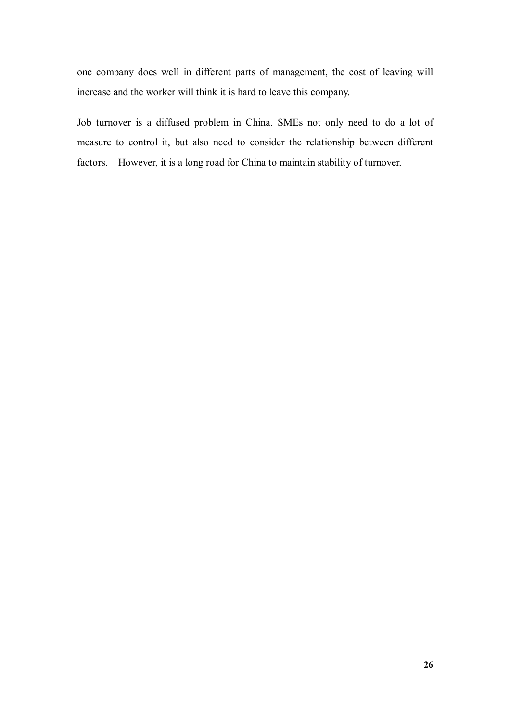one company does well in different parts of management, the cost of leaving will increase and the worker will think it is hard to leave this company.

Job turnover is a diffused problem in China. SMEs not only need to do a lot of measure to control it, but also need to consider the relationship between different factors. However, it is a long road for China to maintain stability of turnover.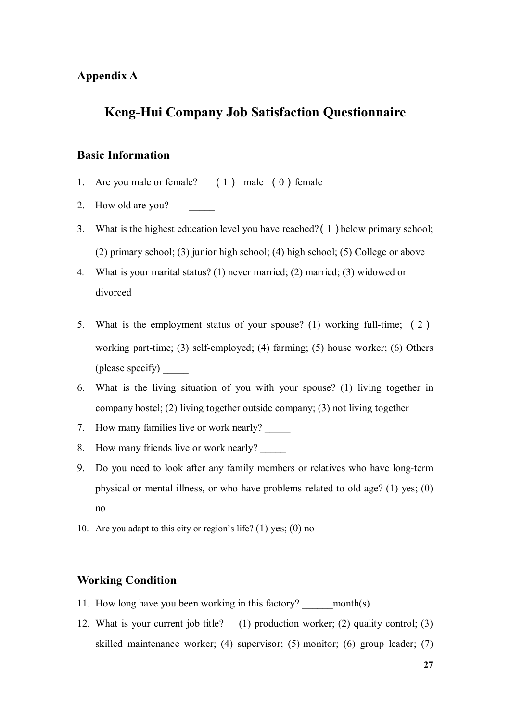### **Appendix A**

# **Keng-Hui Company Job Satisfaction Questionnaire**

### **Basic Information**

- 1. Are you male or female?  $(1)$  male  $(0)$  female
- 2. How old are you?
- 3. What is the highest education level you have reached?(1)below primary school; (2) primary school; (3) junior high school; (4) high school; (5) College or above
- 4. What is your marital status? (1) never married; (2) married; (3) widowed or divorced
- 5. What is the employment status of your spouse? (1) working full-time; (2) working part-time; (3) self-employed; (4) farming; (5) house worker; (6) Others (please specify) \_\_\_\_\_
- 6. What is the living situation of you with your spouse? (1) living together in company hostel; (2) living together outside company; (3) not living together
- 7. How many families live or work nearly?
- 8. How many friends live or work nearly?
- 9. Do you need to look after any family members or relatives who have long-term physical or mental illness, or who have problems related to old age? (1) yes; (0) no
- 10. Are you adapt to this city or region's life? (1) yes; (0) no

#### **Working Condition**

- 11. How long have you been working in this factory? month(s)
- 12. What is your current job title? (1) production worker; (2) quality control; (3) skilled maintenance worker; (4) supervisor; (5) monitor; (6) group leader; (7)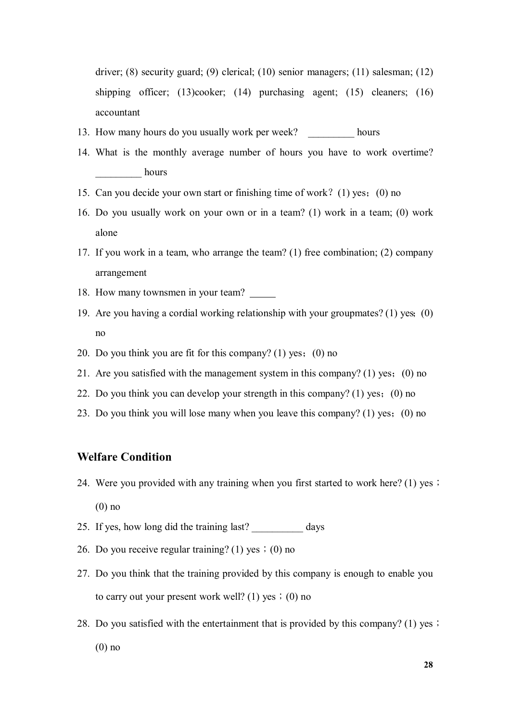driver; (8) security guard; (9) clerical; (10) senior managers; (11) salesman; (12) shipping officer; (13)cooker; (14) purchasing agent; (15) cleaners; (16) accountant

- 13. How many hours do you usually work per week? hours
- 14. What is the monthly average number of hours you have to work overtime? hours
- 15. Can you decide your own start or finishing time of work?(1) yes;(0) no
- 16. Do you usually work on your own or in a team? (1) work in a team; (0) work alone
- 17. If you work in a team, who arrange the team? (1) free combination; (2) company arrangement
- 18. How many townsmen in your team?
- 19. Are you having a cordial working relationship with your groupmates? (1) yes;(0) no
- 20. Do you think you are fit for this company? (1) yes; (0) no
- 21. Are you satisfied with the management system in this company? (1) yes;(0) no
- 22. Do you think you can develop your strength in this company? (1) yes;(0) no
- 23. Do you think you will lose many when you leave this company? (1) yes;(0) no

#### **Welfare Condition**

- 24. Were you provided with any training when you first started to work here? (1) yes; (0) no
- 25. If yes, how long did the training last? \_\_\_\_\_\_\_\_\_\_ days
- 26. Do you receive regular training? (1) yes; (0) no
- 27. Do you think that the training provided by this company is enough to enable you to carry out your present work well? (1) yes;  $(0)$  no
- 28. Do you satisfied with the entertainment that is provided by this company? (1) yes; (0) no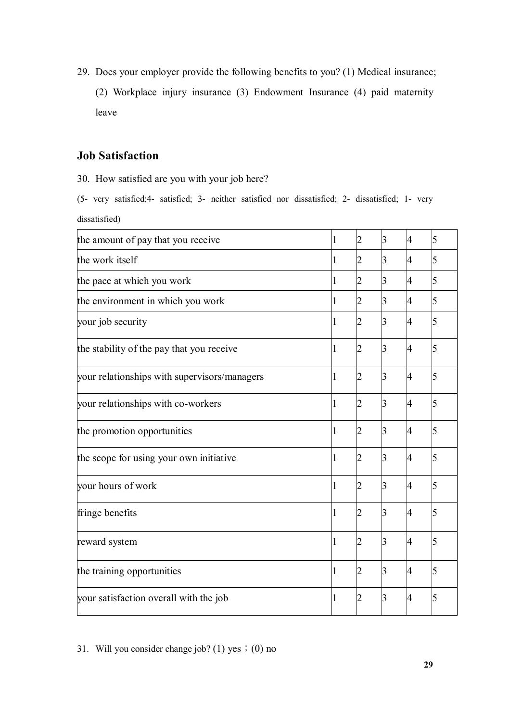29. Does your employer provide the following benefits to you? (1) Medical insurance;

(2) Workplace injury insurance (3) Endowment Insurance (4) paid maternity leave

### **Job Satisfaction**

30. How satisfied are you with your job here?

(5- very satisfied;4- satisfied; 3- neither satisfied nor dissatisfied; 2- dissatisfied; 1- very dissatisfied)

| the amount of pay that you receive           | 2 | 3 | 4 | 5 |
|----------------------------------------------|---|---|---|---|
| the work itself                              |   | З | 4 |   |
| the pace at which you work                   |   | З | 4 | 5 |
| the environment in which you work            |   | 3 | 4 | 5 |
| your job security                            |   | З | 4 | 5 |
| the stability of the pay that you receive    |   | З | 4 |   |
| your relationships with supervisors/managers |   | ß | 4 |   |
| your relationships with co-workers           |   | 3 | 4 |   |
| the promotion opportunities                  | 2 | 3 | 4 |   |
| the scope for using your own initiative      |   | ß | 4 |   |
| your hours of work                           | 2 | 3 | 4 |   |
| fringe benefits                              |   | ß | 4 |   |
| reward system                                | 2 | ß | 4 |   |
| the training opportunities                   |   | ß | 4 |   |
| your satisfaction overall with the job       | 2 | ß | 4 |   |

<sup>31.</sup> Will you consider change job? (1) yes  $(0)$  no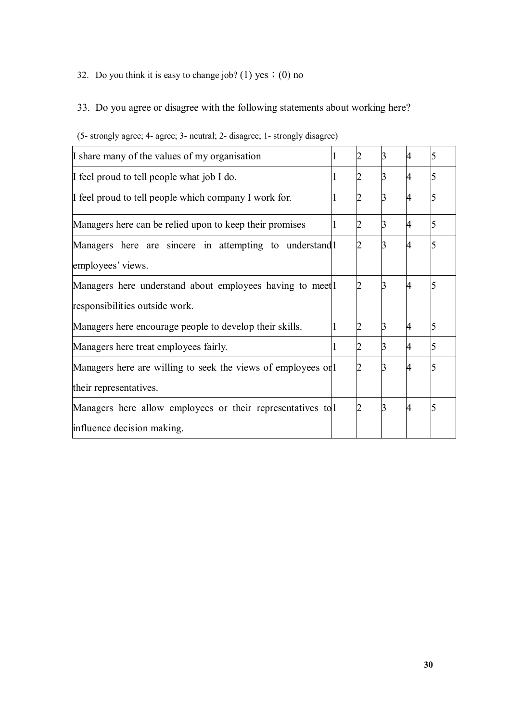### 32. Do you think it is easy to change job? (1) yes  $\div(0)$  no

# 33. Do you agree or disagree with the following statements about working here?

| I share many of the values of my organisation               |  |   |  |
|-------------------------------------------------------------|--|---|--|
| If feel proud to tell people what job I do.                 |  | 4 |  |
| If feel proud to tell people which company I work for.      |  |   |  |
| Managers here can be relied upon to keep their promises     |  | 4 |  |
| Managers here are sincere in attempting to understand  1    |  |   |  |
| employees' views.                                           |  |   |  |
| Managers here understand about employees having to meet     |  |   |  |
| responsibilities outside work.                              |  |   |  |
| Managers here encourage people to develop their skills.     |  | 4 |  |
| Managers here treat employees fairly.                       |  | 4 |  |
| Managers here are willing to seek the views of employees on |  |   |  |
| their representatives.                                      |  |   |  |
| Managers here allow employees or their representatives to 1 |  |   |  |
| influence decision making.                                  |  |   |  |

#### (5- strongly agree; 4- agree; 3- neutral; 2- disagree; 1- strongly disagree)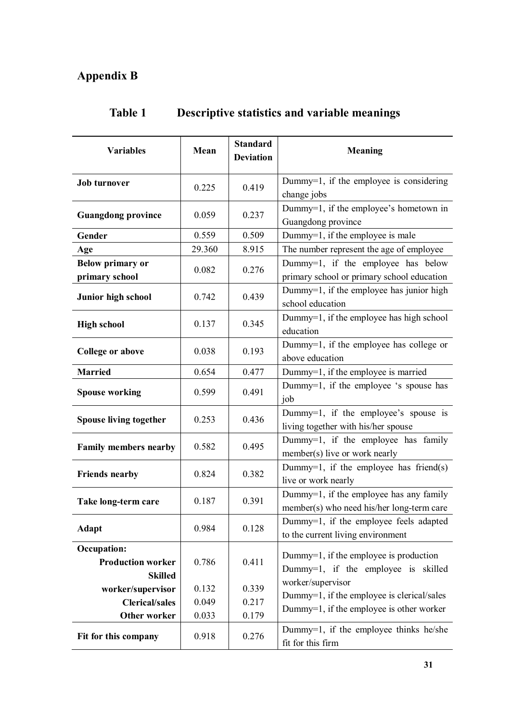# **Appendix B**

| <b>Variables</b>                                                  | Mean                    | <b>Standard</b><br><b>Deviation</b> | <b>Meaning</b>                                                                                              |
|-------------------------------------------------------------------|-------------------------|-------------------------------------|-------------------------------------------------------------------------------------------------------------|
| <b>Job turnover</b>                                               | 0.225                   | 0.419                               | Dummy=1, if the employee is considering<br>change jobs                                                      |
| <b>Guangdong province</b>                                         | 0.059                   | 0.237                               | Dummy=1, if the employee's hometown in<br>Guangdong province                                                |
| Gender                                                            | 0.559                   | 0.509                               | Dummy=1, if the employee is male                                                                            |
| Age                                                               | 29.360                  | 8.915                               | The number represent the age of employee                                                                    |
| <b>Below primary or</b><br>primary school                         | 0.082                   | 0.276                               | Dummy=1, if the employee has below<br>primary school or primary school education                            |
| Junior high school                                                | 0.742                   | 0.439                               | Dummy=1, if the employee has junior high<br>school education                                                |
| <b>High school</b>                                                | 0.137                   | 0.345                               | Dummy=1, if the employee has high school<br>education                                                       |
| <b>College or above</b>                                           | 0.038                   | 0.193                               | Dummy=1, if the employee has college or<br>above education                                                  |
| <b>Married</b>                                                    | 0.654                   | 0.477                               | Dummy=1, if the employee is married                                                                         |
| <b>Spouse working</b>                                             | 0.599                   | 0.491                               | Dummy=1, if the employee 's spouse has<br>job                                                               |
| <b>Spouse living together</b>                                     | 0.253                   | 0.436                               | Dummy=1, if the employee's spouse is<br>living together with his/her spouse                                 |
| <b>Family members nearby</b>                                      | 0.582                   | 0.495                               | Dummy=1, if the employee has family<br>member(s) live or work nearly                                        |
| <b>Friends nearby</b>                                             | 0.824                   | 0.382                               | Dummy=1, if the employee has friend(s)<br>live or work nearly                                               |
| Take long-term care                                               | 0.187                   | 0.391                               | Dummy=1, if the employee has any family<br>member(s) who need his/her long-term care                        |
| <b>Adapt</b>                                                      | 0.984                   | 0.128                               | Dummy=1, if the employee feels adapted<br>to the current living environment                                 |
| <b>Occupation:</b><br><b>Production worker</b><br><b>Skilled</b>  | 0.786                   | 0.411                               | Dummy=1, if the employee is production<br>Dummy=1, if the employee is skilled                               |
| worker/supervisor<br><b>Clerical/sales</b><br><b>Other worker</b> | 0.132<br>0.049<br>0.033 | 0.339<br>0.217<br>0.179             | worker/supervisor<br>Dummy=1, if the employee is clerical/sales<br>Dummy=1, if the employee is other worker |
| Fit for this company                                              | 0.918                   | 0.276                               | Dummy=1, if the employee thinks he/she<br>fit for this firm                                                 |

# **Table 1 Descriptive statistics and variable meanings**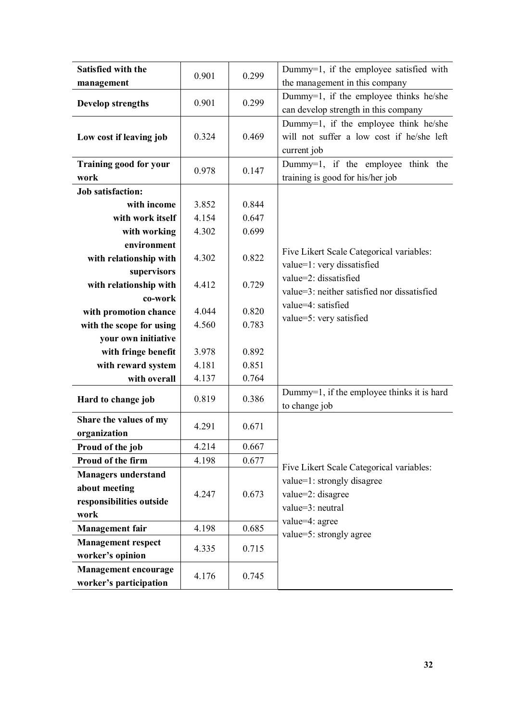| Satisfied with the                                    | 0.901 | 0.299 | Dummy=1, if the employee satisfied with                                                           |
|-------------------------------------------------------|-------|-------|---------------------------------------------------------------------------------------------------|
| management                                            |       |       | the management in this company                                                                    |
| <b>Develop strengths</b>                              | 0.901 | 0.299 | Dummy=1, if the employee thinks he/she<br>can develop strength in this company                    |
| Low cost if leaving job                               | 0.324 | 0.469 | Dummy=1, if the employee think he/she<br>will not suffer a low cost if he/she left<br>current job |
| <b>Training good for your</b><br>work                 | 0.978 | 0.147 | Dummy=1, if the employee think the<br>training is good for his/her job                            |
| <b>Job satisfaction:</b>                              |       |       |                                                                                                   |
| with income                                           | 3.852 | 0.844 |                                                                                                   |
| with work itself                                      | 4.154 | 0.647 |                                                                                                   |
| with working                                          | 4.302 | 0.699 |                                                                                                   |
| environment                                           |       |       |                                                                                                   |
| with relationship with                                | 4.302 | 0.822 | Five Likert Scale Categorical variables:                                                          |
| supervisors                                           |       |       | value=1: very dissatisfied<br>value=2: dissatisfied                                               |
| with relationship with                                | 4.412 | 0.729 | value=3: neither satisfied nor dissatisfied                                                       |
| co-work                                               |       |       | value=4: satisfied                                                                                |
| with promotion chance                                 | 4.044 | 0.820 | value=5: very satisfied                                                                           |
| with the scope for using                              | 4.560 | 0.783 |                                                                                                   |
| your own initiative                                   |       |       |                                                                                                   |
| with fringe benefit                                   | 3.978 | 0.892 |                                                                                                   |
| with reward system                                    | 4.181 | 0.851 |                                                                                                   |
| with overall                                          | 4.137 | 0.764 |                                                                                                   |
| Hard to change job                                    | 0.819 | 0.386 | Dummy=1, if the employee thinks it is hard<br>to change job                                       |
| Share the values of my<br>organization                | 4.291 | 0.671 |                                                                                                   |
| Proud of the job                                      | 4.214 | 0.667 |                                                                                                   |
| Proud of the firm                                     | 4.198 | 0.677 |                                                                                                   |
| <b>Managers understand</b>                            |       |       | Five Likert Scale Categorical variables:                                                          |
| about meeting                                         |       |       | value=1: strongly disagree                                                                        |
| responsibilities outside                              | 4.247 | 0.673 | value=2: disagree                                                                                 |
| work                                                  |       |       | value=3: neutral                                                                                  |
| <b>Management</b> fair                                | 4.198 | 0.685 | value=4: agree                                                                                    |
| <b>Management respect</b>                             |       |       | value=5: strongly agree                                                                           |
| worker's opinion                                      | 4.335 | 0.715 |                                                                                                   |
| <b>Management encourage</b><br>worker's participation | 4.176 | 0.745 |                                                                                                   |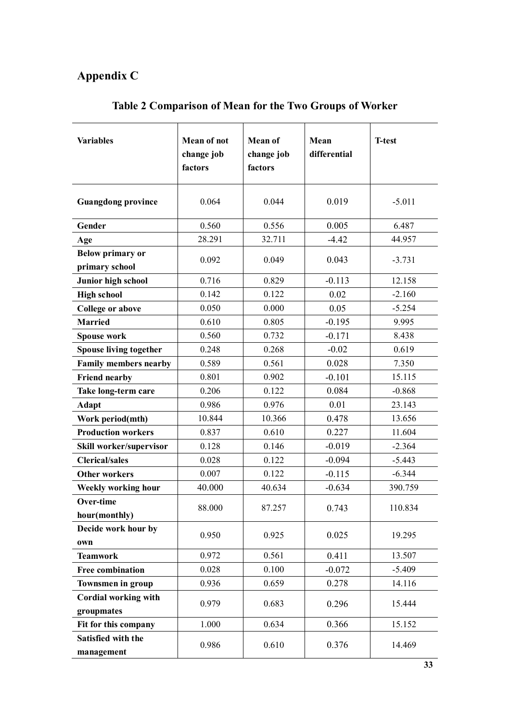# **Appendix C**

| <b>Variables</b>                          | <b>Mean of not</b><br>change job<br>factors | <b>Mean of</b><br>change job<br>factors | Mean<br>differential | <b>T-test</b> |
|-------------------------------------------|---------------------------------------------|-----------------------------------------|----------------------|---------------|
| <b>Guangdong province</b>                 | 0.064                                       | 0.044                                   | 0.019                | $-5.011$      |
| Gender                                    | 0.560                                       | 0.556                                   | 0.005                | 6.487         |
| Age                                       | 28.291                                      | 32.711                                  | $-4.42$              | 44.957        |
| <b>Below primary or</b><br>primary school | 0.092                                       | 0.049                                   | 0.043                | $-3.731$      |
| Junior high school                        | 0.716                                       | 0.829                                   | $-0.113$             | 12.158        |
| <b>High school</b>                        | 0.142                                       | 0.122                                   | 0.02                 | $-2.160$      |
| <b>College or above</b>                   | 0.050                                       | 0.000                                   | 0.05                 | $-5.254$      |
| <b>Married</b>                            | 0.610                                       | 0.805                                   | $-0.195$             | 9.995         |
| <b>Spouse work</b>                        | 0.560                                       | 0.732                                   | $-0.171$             | 8.438         |
| Spouse living together                    | 0.248                                       | 0.268                                   | $-0.02$              | 0.619         |
| <b>Family members nearby</b>              | 0.589                                       | 0.561                                   | 0.028                | 7.350         |
| <b>Friend nearby</b>                      | 0.801                                       | 0.902                                   | $-0.101$             | 15.115        |
| Take long-term care                       | 0.206                                       | 0.122                                   | 0.084                | $-0.868$      |
| <b>Adapt</b>                              | 0.986                                       | 0.976                                   | 0.01                 | 23.143        |
| Work period(mth)                          | 10.844                                      | 10.366                                  | 0.478                | 13.656        |
| <b>Production workers</b>                 | 0.837                                       | 0.610                                   | 0.227                | 11.604        |
| Skill worker/supervisor                   | 0.128                                       | 0.146                                   | $-0.019$             | $-2.364$      |
| <b>Clerical/sales</b>                     | 0.028                                       | 0.122                                   | $-0.094$             | $-5.443$      |
| <b>Other workers</b>                      | 0.007                                       | 0.122                                   | $-0.115$             | $-6.344$      |
| Weekly working hour                       | 40.000                                      | 40.634                                  | $-0.634$             | 390.759       |
| <b>Over-time</b><br>hour(monthly)         | 88.000                                      | 87.257                                  | 0.743                | 110.834       |
| Decide work hour by<br>own                | 0.950                                       | 0.925                                   | 0.025                | 19.295        |
| <b>Teamwork</b>                           | 0.972                                       | 0.561                                   | 0.411                | 13.507        |
| <b>Free combination</b>                   | 0.028                                       | 0.100                                   | $-0.072$             | $-5.409$      |
| <b>Townsmen in group</b>                  | 0.936                                       | 0.659                                   | 0.278                | 14.116        |
| <b>Cordial working with</b><br>groupmates | 0.979                                       | 0.683                                   | 0.296                | 15.444        |
| Fit for this company                      | 1.000                                       | 0.634                                   | 0.366                | 15.152        |
| Satisfied with the<br>management          | 0.986                                       | 0.610                                   | 0.376                | 14.469        |

# **Table 2 Comparison of Mean for the Two Groups of Worker**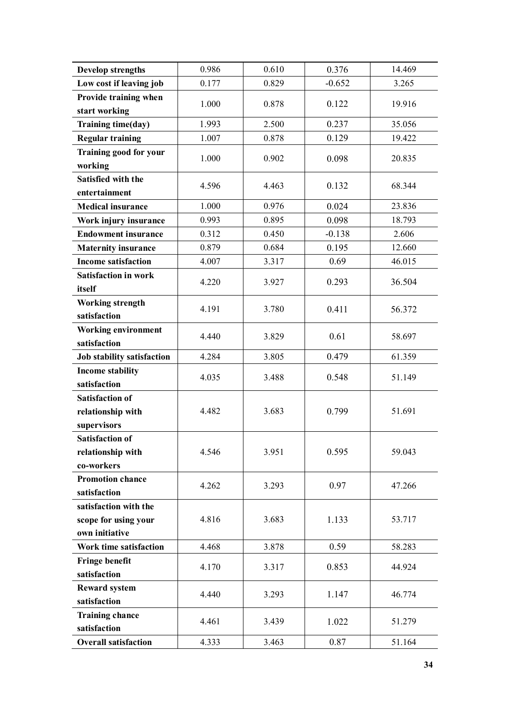| <b>Develop strengths</b>    | 0.986 | 0.610 | 0.376    | 14.469 |
|-----------------------------|-------|-------|----------|--------|
| Low cost if leaving job     | 0.177 | 0.829 | $-0.652$ | 3.265  |
| Provide training when       | 1.000 | 0.878 | 0.122    | 19.916 |
| start working               |       |       |          |        |
| Training time(day)          | 1.993 | 2.500 | 0.237    | 35.056 |
| <b>Regular training</b>     | 1.007 | 0.878 | 0.129    | 19.422 |
| Training good for your      | 1.000 | 0.902 | 0.098    | 20.835 |
| working                     |       |       |          |        |
| Satisfied with the          | 4.596 | 4.463 | 0.132    | 68.344 |
| entertainment               |       |       |          |        |
| <b>Medical insurance</b>    | 1.000 | 0.976 | 0.024    | 23.836 |
| Work injury insurance       | 0.993 | 0.895 | 0.098    | 18.793 |
| <b>Endowment insurance</b>  | 0.312 | 0.450 | $-0.138$ | 2.606  |
| <b>Maternity insurance</b>  | 0.879 | 0.684 | 0.195    | 12.660 |
| <b>Income satisfaction</b>  | 4.007 | 3.317 | 0.69     | 46.015 |
| <b>Satisfaction in work</b> | 4.220 | 3.927 | 0.293    | 36.504 |
| itself                      |       |       |          |        |
| <b>Working strength</b>     | 4.191 | 3.780 | 0.411    | 56.372 |
| satisfaction                |       |       |          |        |
| <b>Working environment</b>  | 4.440 | 3.829 | 0.61     | 58.697 |
| satisfaction                |       |       |          |        |
| Job stability satisfaction  | 4.284 | 3.805 | 0.479    | 61.359 |
| <b>Income stability</b>     | 4.035 | 3.488 | 0.548    | 51.149 |
| satisfaction                |       |       |          |        |
| <b>Satisfaction of</b>      |       |       |          |        |
| relationship with           | 4.482 | 3.683 | 0.799    | 51.691 |
| supervisors                 |       |       |          |        |
| <b>Satisfaction of</b>      |       |       |          |        |
| relationship with           | 4.546 | 3.951 | 0.595    | 59.043 |
| co-workers                  |       |       |          |        |
| <b>Promotion chance</b>     | 4.262 | 3.293 | 0.97     | 47.266 |
| satisfaction                |       |       |          |        |
| satisfaction with the       |       |       |          |        |
| scope for using your        | 4.816 | 3.683 | 1.133    | 53.717 |
| own initiative              |       |       |          |        |
| Work time satisfaction      | 4.468 | 3.878 | 0.59     | 58.283 |
| <b>Fringe benefit</b>       | 4.170 | 3.317 | 0.853    | 44.924 |
| satisfaction                |       |       |          |        |
| <b>Reward system</b>        | 4.440 | 3.293 | 1.147    | 46.774 |
| satisfaction                |       |       |          |        |
| <b>Training chance</b>      | 4.461 | 3.439 | 1.022    | 51.279 |
| satisfaction                |       |       |          |        |
| <b>Overall satisfaction</b> | 4.333 | 3.463 | 0.87     | 51.164 |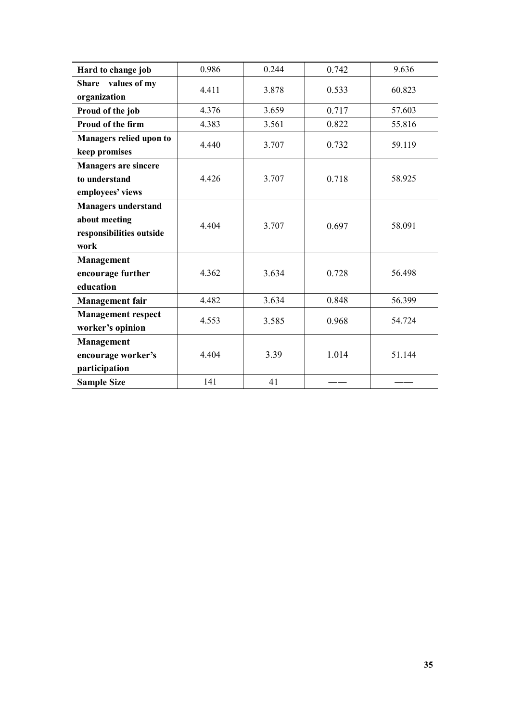| Hard to change job             | 0.986 | 0.244 | 0.742 | 9.636  |
|--------------------------------|-------|-------|-------|--------|
| values of my<br><b>Share</b>   | 4.411 | 3.878 | 0.533 | 60.823 |
| organization                   |       |       |       |        |
| Proud of the job               | 4.376 | 3.659 | 0.717 | 57.603 |
| Proud of the firm              | 4.383 | 3.561 | 0.822 | 55.816 |
| <b>Managers relied upon to</b> |       |       |       |        |
| keep promises                  | 4.440 | 3.707 | 0.732 | 59.119 |
| <b>Managers are sincere</b>    |       |       |       |        |
| to understand                  | 4.426 | 3.707 | 0.718 | 58.925 |
| employees' views               |       |       |       |        |
| <b>Managers understand</b>     |       |       |       |        |
| about meeting                  | 4.404 | 3.707 | 0.697 | 58.091 |
| responsibilities outside       |       |       |       |        |
| work                           |       |       |       |        |
| Management                     |       |       |       |        |
| encourage further              | 4.362 | 3.634 | 0.728 | 56.498 |
| education                      |       |       |       |        |
| <b>Management</b> fair         | 4.482 | 3.634 | 0.848 | 56.399 |
| <b>Management respect</b>      | 4.553 | 3.585 | 0.968 | 54.724 |
| worker's opinion               |       |       |       |        |
| <b>Management</b>              |       |       |       |        |
| encourage worker's             | 4.404 | 3.39  | 1.014 | 51.144 |
| participation                  |       |       |       |        |
| <b>Sample Size</b>             | 141   | 41    |       |        |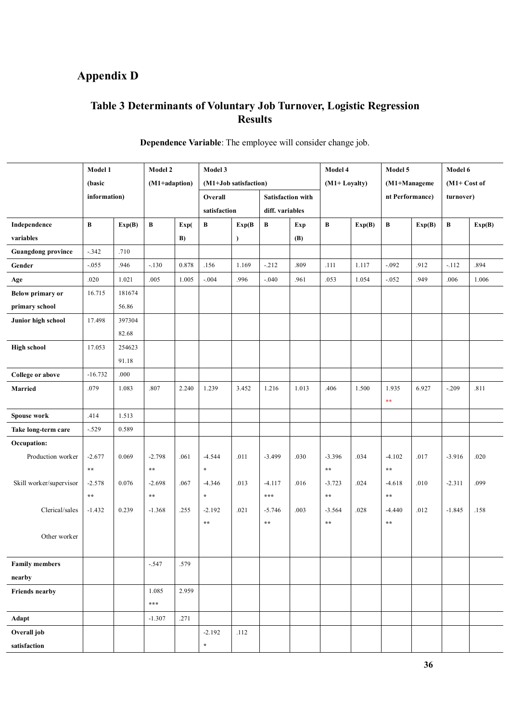# **Appendix D**

# **Table 3 Determinants of Voluntary Job Turnover, Logistic Regression Results**

|                           | Model 1      |        | Model 2       |       | Model 3               |               |                          |       | Model 4         |        | Model 5         |        | Model 6       |        |  |
|---------------------------|--------------|--------|---------------|-------|-----------------------|---------------|--------------------------|-------|-----------------|--------|-----------------|--------|---------------|--------|--|
|                           | (basic       |        | (M1+adaption) |       | (M1+Job satisfaction) |               |                          |       | (M1+Loyalty)    |        | (M1+Manageme    |        | $(M1+Cost of$ |        |  |
|                           | information) |        |               |       | Overall               |               | <b>Satisfaction with</b> |       |                 |        | nt Performance) |        | turnover)     |        |  |
|                           |              |        |               |       | satisfaction          |               | diff. variables          |       |                 |        |                 |        |               |        |  |
| Independence              | $\, {\bf B}$ | Exp(B) | B             | Exp(  | В                     | Exp(B)        | B                        | Exp   | $\, {\bf B}$    | Exp(B) | B               | Exp(B) | $\, {\bf B}$  | Exp(B) |  |
| variables                 |              |        |               | B)    |                       | $\mathcal{E}$ |                          | (B)   |                 |        |                 |        |               |        |  |
| <b>Guangdong province</b> | $-0.342$     | .710   |               |       |                       |               |                          |       |                 |        |                 |        |               |        |  |
| Gender                    | $-0.055$     | .946   | $-.130$       | 0.878 | .156                  | 1.169         | $-.212$                  | .809  | .111            | 1.117  | $-.092$         | .912   | $-112$        | .894   |  |
| Age                       | $.020\,$     | 1.021  | .005          | 1.005 | $-.004$               | .996          | $-.040$                  | .961  | .053            | 1.054  | $-.052$         | .949   | .006          | 1.006  |  |
| <b>Below primary or</b>   | 16.715       | 181674 |               |       |                       |               |                          |       |                 |        |                 |        |               |        |  |
| primary school            |              | 56.86  |               |       |                       |               |                          |       |                 |        |                 |        |               |        |  |
| Junior high school        | 17.498       | 397304 |               |       |                       |               |                          |       |                 |        |                 |        |               |        |  |
|                           |              | 82.68  |               |       |                       |               |                          |       |                 |        |                 |        |               |        |  |
| <b>High school</b>        | 17.053       | 254623 |               |       |                       |               |                          |       |                 |        |                 |        |               |        |  |
|                           |              | 91.18  |               |       |                       |               |                          |       |                 |        |                 |        |               |        |  |
| College or above          | $-16.732$    | .000   |               |       |                       |               |                          |       |                 |        |                 |        |               |        |  |
| <b>Married</b>            | .079         | 1.083  | .807          | 2.240 | 1.239                 | 3.452         | 1.216                    | 1.013 | .406            | 1.500  | 1.935           | 6.927  | $-.209$       | .811   |  |
|                           |              |        |               |       |                       |               |                          |       |                 |        | $\ast\ast$      |        |               |        |  |
| <b>Spouse work</b>        | .414         | 1.513  |               |       |                       |               |                          |       |                 |        |                 |        |               |        |  |
| Take long-term care       | $-.529$      | 0.589  |               |       |                       |               |                          |       |                 |        |                 |        |               |        |  |
| Occupation:               |              |        |               |       |                       |               |                          |       |                 |        |                 |        |               |        |  |
| Production worker         | $-2.677$     | 0.069  | $-2.798$      | .061  | $-4.544$              | .011          | $-3.499$                 | .030  | $-3.396$        | .034   | $-4.102$        | .017   | $-3.916$      | .020   |  |
|                           | $\star\star$ |        | $\star\star$  |       | $\star$               |               |                          |       | $\star$ $\star$ |        | $\star\star$    |        |               |        |  |
| Skill worker/supervisor   | $-2.578$     | 0.076  | $-2.698$      | .067  | $-4.346$              | .013          | $-4.117$                 | .016  | $-3.723$        | .024   | $-4.618$        | .010   | $-2.311$      | .099   |  |
|                           | $\star\star$ |        | $\star\star$  |       | $\star$               |               | $* * *$                  |       | $\star$ $\star$ |        | $\star$ $\star$ |        |               |        |  |
| Clerical/sales            | $-1.432$     | 0.239  | $-1.368$      | .255  | $-2.192$              | .021          | $-5.746$                 | .003  | $-3.564$        | .028   | $-4.440$        | .012   | $-1.845$      | .158   |  |
|                           |              |        |               |       | $\star\star$          |               | $\star$ $\star$          |       | $\star$ $\star$ |        | $\star$ $\star$ |        |               |        |  |
| Other worker              |              |        |               |       |                       |               |                          |       |                 |        |                 |        |               |        |  |
|                           |              |        |               |       |                       |               |                          |       |                 |        |                 |        |               |        |  |
| <b>Family members</b>     |              |        | $-.547$       | .579  |                       |               |                          |       |                 |        |                 |        |               |        |  |
| nearby                    |              |        |               |       |                       |               |                          |       |                 |        |                 |        |               |        |  |
| <b>Friends nearby</b>     |              |        | 1.085         | 2.959 |                       |               |                          |       |                 |        |                 |        |               |        |  |
|                           |              |        | $* * *$       |       |                       |               |                          |       |                 |        |                 |        |               |        |  |
| Adapt                     |              |        | $-1.307$      | .271  |                       |               |                          |       |                 |        |                 |        |               |        |  |
| Overall job               |              |        |               |       | $-2.192$              | .112          |                          |       |                 |        |                 |        |               |        |  |
| satisfaction              |              |        |               |       | $\star$               |               |                          |       |                 |        |                 |        |               |        |  |

### **Dependence Variable**: The employee will consider change job.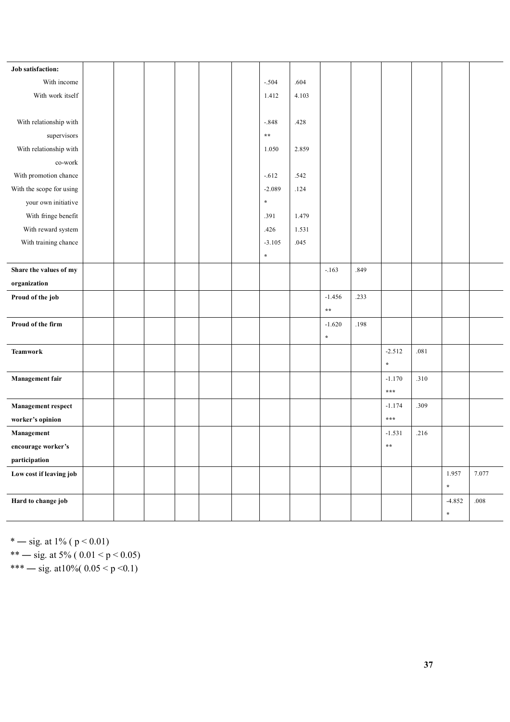| Job satisfaction:         |  |  |  |              |       |                 |      |                 |      |          |          |
|---------------------------|--|--|--|--------------|-------|-----------------|------|-----------------|------|----------|----------|
| With income               |  |  |  | $-.504$      | .604  |                 |      |                 |      |          |          |
| With work itself          |  |  |  | 1.412        | 4.103 |                 |      |                 |      |          |          |
|                           |  |  |  |              |       |                 |      |                 |      |          |          |
| With relationship with    |  |  |  | $-.848$      | .428  |                 |      |                 |      |          |          |
| supervisors               |  |  |  | $\star\star$ |       |                 |      |                 |      |          |          |
| With relationship with    |  |  |  | 1.050        | 2.859 |                 |      |                 |      |          |          |
| co-work                   |  |  |  |              |       |                 |      |                 |      |          |          |
| With promotion chance     |  |  |  | $-.612$      | .542  |                 |      |                 |      |          |          |
| With the scope for using  |  |  |  | $-2.089$     | .124  |                 |      |                 |      |          |          |
| your own initiative       |  |  |  | $\star$      |       |                 |      |                 |      |          |          |
| With fringe benefit       |  |  |  | .391         | 1.479 |                 |      |                 |      |          |          |
| With reward system        |  |  |  | .426         | 1.531 |                 |      |                 |      |          |          |
| With training chance      |  |  |  | $-3.105$     | .045  |                 |      |                 |      |          |          |
|                           |  |  |  | $\star$      |       |                 |      |                 |      |          |          |
| Share the values of my    |  |  |  |              |       | $-.163$         | .849 |                 |      |          |          |
| organization              |  |  |  |              |       |                 |      |                 |      |          |          |
| Proud of the job          |  |  |  |              |       | $-1.456$        | .233 |                 |      |          |          |
|                           |  |  |  |              |       | $\star$ $\star$ |      |                 |      |          |          |
| Proud of the firm         |  |  |  |              |       | $-1.620$        | .198 |                 |      |          |          |
|                           |  |  |  |              |       | $\star$         |      |                 |      |          |          |
| <b>Teamwork</b>           |  |  |  |              |       |                 |      | $-2.512$        | .081 |          |          |
|                           |  |  |  |              |       |                 |      | $\star$         |      |          |          |
| Management fair           |  |  |  |              |       |                 |      | $-1.170$        | .310 |          |          |
|                           |  |  |  |              |       |                 |      | $***$           |      |          |          |
| <b>Management respect</b> |  |  |  |              |       |                 |      | $-1.174$        | .309 |          |          |
| worker's opinion          |  |  |  |              |       |                 |      | ***             |      |          |          |
| Management                |  |  |  |              |       |                 |      | $-1.531$        | .216 |          |          |
| encourage worker's        |  |  |  |              |       |                 |      | $\star$ $\star$ |      |          |          |
| participation             |  |  |  |              |       |                 |      |                 |      |          |          |
| Low cost if leaving job   |  |  |  |              |       |                 |      |                 |      | 1.957    | 7.077    |
|                           |  |  |  |              |       |                 |      |                 |      | $\star$  |          |
| Hard to change job        |  |  |  |              |       |                 |      |                 |      | $-4.852$ | $.008\,$ |
|                           |  |  |  |              |       |                 |      |                 |      | $\star$  |          |

\* — sig. at 1% ( $p < 0.01$ )

\*\* — sig. at 5% (  $0.01 < p < 0.05$ )

\*\*\* — sig. at  $10\%$  (  $0.05 < p < 0.1$ )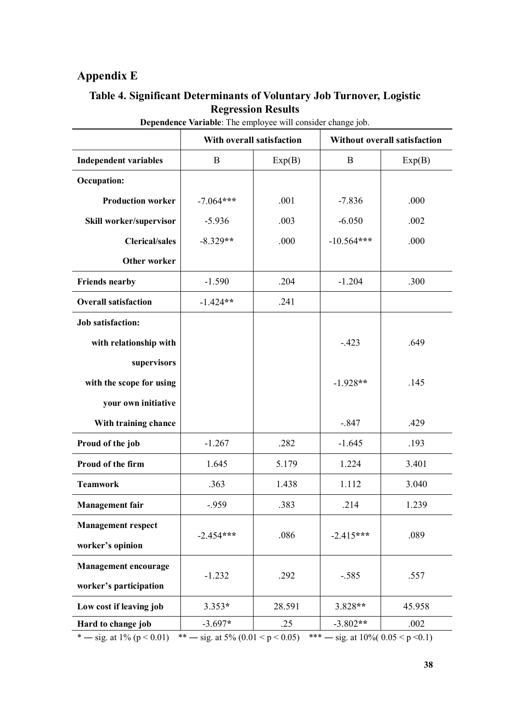# **Appendix E**

### **Table 4. Significant Determinants of Voluntary Job Turnover, Logistic Regression Results**

|                              | With overall satisfaction |        | <b>Without overall satisfaction</b> |        |  |  |  |
|------------------------------|---------------------------|--------|-------------------------------------|--------|--|--|--|
| <b>Independent variables</b> | B<br>Exp(B)               |        | $\mathbf B$                         | Exp(B) |  |  |  |
| <b>Occupation:</b>           |                           |        |                                     |        |  |  |  |
| <b>Production worker</b>     | $-7.064***$               | .001   | $-7.836$                            | .000   |  |  |  |
| Skill worker/supervisor      | $-5.936$                  | .003   | $-6.050$                            | .002   |  |  |  |
| <b>Clerical/sales</b>        | $-8.329**$                | .000   | $-10.564***$                        | .000   |  |  |  |
| Other worker                 |                           |        |                                     |        |  |  |  |
| <b>Friends nearby</b>        | $-1.590$                  | .204   | $-1.204$                            | .300   |  |  |  |
| <b>Overall satisfaction</b>  | $-1.424**$                | .241   |                                     |        |  |  |  |
| <b>Job satisfaction:</b>     |                           |        |                                     |        |  |  |  |
| with relationship with       |                           |        | $-.423$                             | .649   |  |  |  |
| supervisors                  |                           |        |                                     |        |  |  |  |
| with the scope for using     |                           |        | $-1.928**$                          | .145   |  |  |  |
| your own initiative          |                           |        |                                     |        |  |  |  |
| With training chance         |                           |        | $-.847$                             | .429   |  |  |  |
| Proud of the job             | $-1.267$                  | .282   | $-1.645$                            | .193   |  |  |  |
| Proud of the firm            | 1.645                     | 5.179  | 1.224                               | 3.401  |  |  |  |
| <b>Teamwork</b>              | .363                      | 1.438  | 1.112                               | 3.040  |  |  |  |
| <b>Management</b> fair       | $-0.959$                  | .383   | .214                                | 1.239  |  |  |  |
| <b>Management respect</b>    |                           |        |                                     |        |  |  |  |
| worker's opinion             | $-2.454***$               | .086   | $-2.415***$                         | .089   |  |  |  |
| <b>Management encourage</b>  |                           |        |                                     |        |  |  |  |
| worker's participation       | $-1.232$                  | .292   | $-.585$                             | .557   |  |  |  |
| Low cost if leaving job      | $3.353*$                  | 28.591 | 3.828**                             | 45.958 |  |  |  |
| Hard to change job           | $-3.697*$                 | .25    | $-3.802**$                          | .002   |  |  |  |

**Dependence Variable**: The employee will consider change job.

\* — sig. at  $1\%$  (p < 0.01) \*\* — sig. at  $5\%$  (0.01 < p < 0.05) \*\*\* — sig. at  $10\%$  (0.05 < p < 0.1)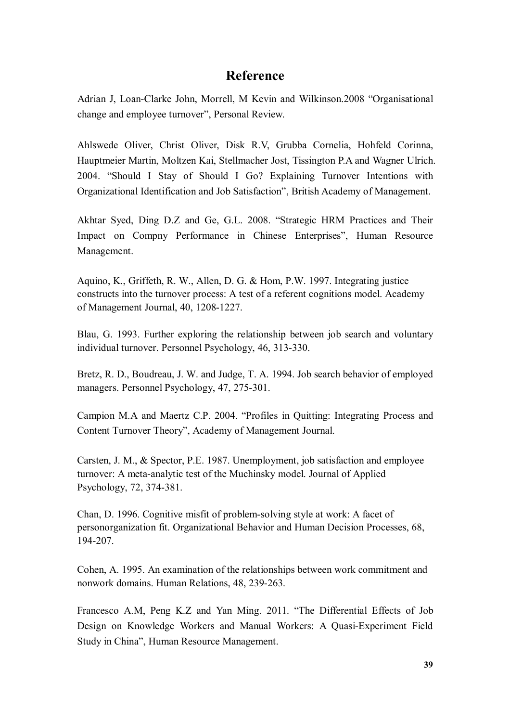# **Reference**

Adrian J, Loan-Clarke John, Morrell, M Kevin and Wilkinson.2008 "Organisational change and employee turnover", Personal Review.

Ahlswede Oliver, Christ Oliver, Disk R.V, Grubba Cornelia, Hohfeld Corinna, Hauptmeier Martin, Moltzen Kai, Stellmacher Jost, Tissington P.A and Wagner Ulrich. 2004. "Should I Stay of Should I Go? Explaining Turnover Intentions with Organizational Identification and Job Satisfaction", British Academy of Management.

Akhtar Syed, Ding D.Z and Ge, G.L. 2008. "Strategic HRM Practices and Their Impact on Compny Performance in Chinese Enterprises", Human Resource Management.

Aquino, K., Griffeth, R. W., Allen, D. G. & Hom, P.W. 1997. Integrating justice constructs into the turnover process: A test of a referent cognitions model. Academy of Management Journal, 40, 1208-1227.

Blau, G. 1993. Further exploring the relationship between job search and voluntary individual turnover. Personnel Psychology, 46, 313-330.

Bretz, R. D., Boudreau, J. W. and Judge, T. A. 1994. Job search behavior of employed managers. Personnel Psychology, 47, 275-301.

Campion M.A and Maertz C.P. 2004. "Profiles in Quitting: Integrating Process and Content Turnover Theory", Academy of Management Journal.

Carsten, J. M., & Spector, P.E. 1987. Unemployment, job satisfaction and employee turnover: A meta-analytic test of the Muchinsky model. Journal of Applied Psychology, 72, 374-381.

Chan, D. 1996. Cognitive misfit of problem-solving style at work: A facet of personorganization fit. Organizational Behavior and Human Decision Processes, 68, 194-207.

Cohen, A. 1995. An examination of the relationships between work commitment and nonwork domains. Human Relations, 48, 239-263.

Francesco A.M, Peng K.Z and Yan Ming. 2011. "The Differential Effects of Job Design on Knowledge Workers and Manual Workers: A Quasi-Experiment Field Study in China", Human Resource Management.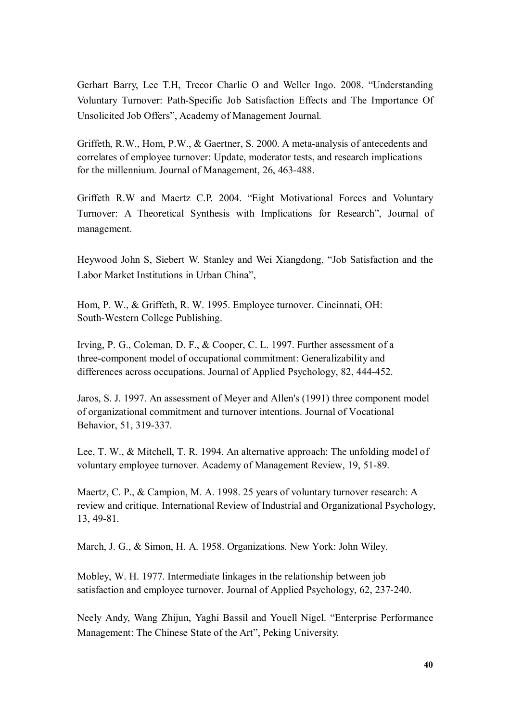Gerhart Barry, Lee T.H, Trecor Charlie O and Weller Ingo. 2008. "Understanding Voluntary Turnover: Path-Specific Job Satisfaction Effects and The Importance Of Unsolicited Job Offers", Academy of Management Journal.

Griffeth, R.W., Hom, P.W., & Gaertner, S. 2000. A meta-analysis of antecedents and correlates of employee turnover: Update, moderator tests, and research implications for the millennium. Journal of Management, 26, 463-488.

Griffeth R.W and Maertz C.P. 2004. "Eight Motivational Forces and Voluntary Turnover: A Theoretical Synthesis with Implications for Research", Journal of management.

Heywood John S, Siebert W. Stanley and Wei Xiangdong, "Job Satisfaction and the Labor Market Institutions in Urban China",

Hom, P. W., & Griffeth, R. W. 1995. Employee turnover. Cincinnati, OH: South-Western College Publishing.

Irving, P. G., Coleman, D. F., & Cooper, C. L. 1997. Further assessment of a three-component model of occupational commitment: Generalizability and differences across occupations. Journal of Applied Psychology, 82, 444-452.

Jaros, S. J. 1997. An assessment of Meyer and Allen's (1991) three component model of organizational commitment and turnover intentions. Journal of Vocational Behavior, 51, 319-337.

Lee, T. W., & Mitchell, T. R. 1994. An alternative approach: The unfolding model of voluntary employee turnover. Academy of Management Review, 19, 51-89.

Maertz, C. P., & Campion, M. A. 1998. 25 years of voluntary turnover research: A review and critique. International Review of Industrial and Organizational Psychology, 13, 49-81.

March, J. G., & Simon, H. A. 1958. Organizations. New York: John Wiley.

Mobley, W. H. 1977. Intermediate linkages in the relationship between job satisfaction and employee turnover. Journal of Applied Psychology, 62, 237-240.

Neely Andy, Wang Zhijun, Yaghi Bassil and Youell Nigel. "Enterprise Performance Management: The Chinese State of the Art", Peking University.